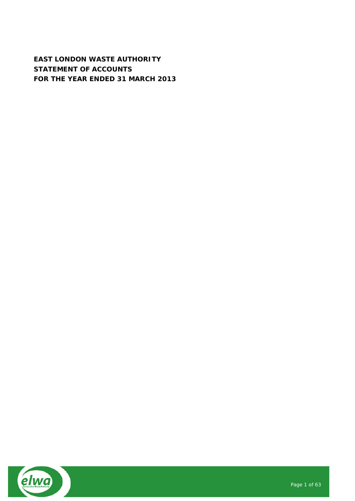**EAST LONDON WASTE AUTHORITY STATEMENT OF ACCOUNTS FOR THE YEAR ENDED 31 MARCH 2013**

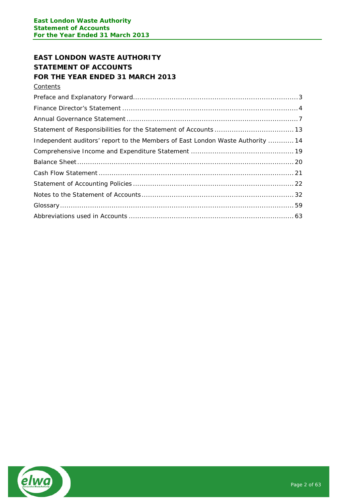# **EAST LONDON WASTE AUTHORITY STATEMENT OF ACCOUNTS FOR THE YEAR ENDED 31 MARCH 2013**

**Contents** 

| Independent auditors' report to the Members of East London Waste Authority  14 |  |
|--------------------------------------------------------------------------------|--|
|                                                                                |  |
|                                                                                |  |
|                                                                                |  |
|                                                                                |  |
|                                                                                |  |
|                                                                                |  |
|                                                                                |  |

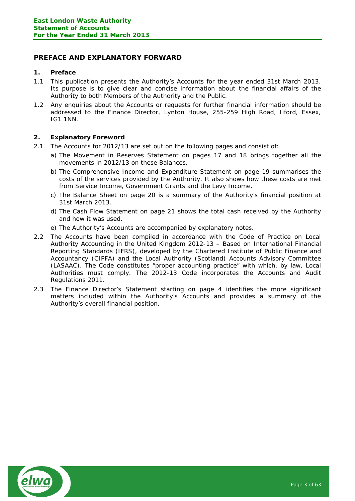# <span id="page-2-0"></span>**PREFACE AND EXPLANATORY FORWARD**

# **1. Preface**

- 1.1 This publication presents the Authority's Accounts for the year ended 31st March 2013. Its purpose is to give clear and concise information about the financial affairs of the Authority to both Members of the Authority and the Public.
- 1.2 Any enquiries about the Accounts or requests for further financial information should be addressed to the Finance Director, Lynton House, 255-259 High Road, Ilford, Essex, IG1 1NN.

# **2. Explanatory Foreword**

- 2.1 The Accounts for 2012/13 are set out on the following pages and consist of:
	- a) The Movement in Reserves Statement on pages 17 and 18 brings together all the movements in 2012/13 on these Balances.
		- b) The Comprehensive Income and Expenditure Statement on page 19 summarises the costs of the services provided by the Authority. It also shows how these costs are met from Service Income, Government Grants and the Levy Income.
		- c) The Balance Sheet on page 20 is a summary of the Authority's financial position at 31st March 2013.
		- d) The Cash Flow Statement on page 21 shows the total cash received by the Authority and how it was used.
	- e) The Authority's Accounts are accompanied by explanatory notes.
- 2.2 The Accounts have been compiled in accordance with the Code of Practice on Local Authority Accounting in the United Kingdom 2012-13 – Based on International Financial Reporting Standards (IFRS), developed by the Chartered Institute of Public Finance and Accountancy (CIPFA) and the Local Authority (Scotland) Accounts Advisory Committee (LASAAC). The Code constitutes "proper accounting practice" with which, by law, Local Authorities must comply. The 2012-13 Code incorporates the Accounts and Audit Regulations 2011.
- 2.3 The Finance Director's Statement starting on page 4 identifies the more significant matters included within the Authority's Accounts and provides a summary of the Authority's overall financial position.

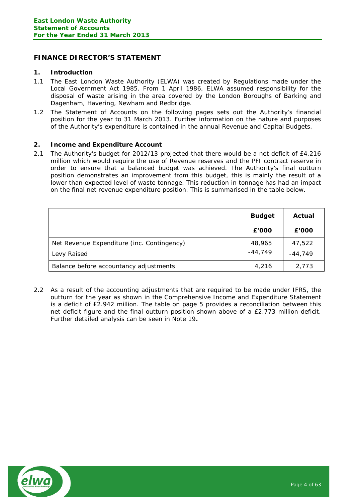# <span id="page-3-0"></span>**FINANCE DIRECTOR'S STATEMENT**

#### **1. Introduction**

- 1.1 The East London Waste Authority (ELWA) was created by Regulations made under the Local Government Act 1985. From 1 April 1986, ELWA assumed responsibility for the disposal of waste arising in the area covered by the London Boroughs of Barking and Dagenham, Havering, Newham and Redbridge.
- 1.2 The Statement of Accounts on the following pages sets out the Authority's financial position for the year to 31 March 2013. Further information on the nature and purposes of the Authority's expenditure is contained in the annual Revenue and Capital Budgets.

#### **2. Income and Expenditure Account**

2.1 The Authority's budget for 2012/13 projected that there would be a net deficit of £4.216 million which would require the use of Revenue reserves and the PFI contract reserve in order to ensure that a balanced budget was achieved. The Authority's final outturn position demonstrates an improvement from this budget, this is mainly the result of a lower than expected level of waste tonnage. This reduction in tonnage has had an impact on the final net revenue expenditure position. This is summarised in the table below.

|                                            | <b>Budget</b> | Actual    |
|--------------------------------------------|---------------|-----------|
|                                            | £'000         | £'000     |
| Net Revenue Expenditure (inc. Contingency) | 48,965        | 47,522    |
| Levy Raised                                | $-44,749$     | $-44.749$ |
| Balance before accountancy adjustments     | 4,216         | 2,773     |

2.2 As a result of the accounting adjustments that are required to be made under IFRS, the outturn for the year as shown in the Comprehensive Income and Expenditure Statement is a deficit of £2.942 million. The table on page 5 provides a reconciliation between this net deficit figure and the final outturn position shown above of a £2.773 million deficit. Further detailed analysis can be seen in Note 19**.**

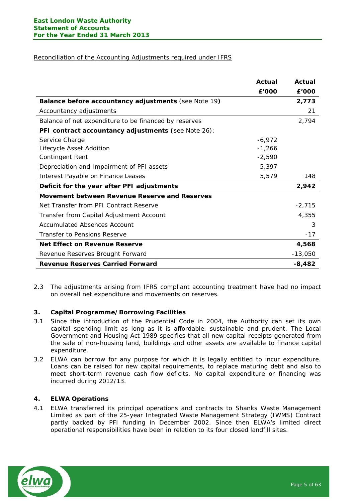# Reconciliation of the Accounting Adjustments required under IFRS

|                                                       | Actual   | Actual    |
|-------------------------------------------------------|----------|-----------|
|                                                       | £'000    | £'000     |
| Balance before accountancy adjustments (see Note 19)  |          | 2,773     |
| Accountancy adjustments                               |          | 21        |
| Balance of net expenditure to be financed by reserves |          | 2,794     |
| PFI contract accountancy adjustments (see Note 26):   |          |           |
| Service Charge                                        | $-6,972$ |           |
| Lifecycle Asset Addition                              | $-1,266$ |           |
| <b>Contingent Rent</b>                                | $-2,590$ |           |
| Depreciation and Impairment of PFI assets             | 5,397    |           |
| Interest Payable on Finance Leases                    | 5,579    | 148       |
| Deficit for the year after PFI adjustments            |          | 2,942     |
| Movement between Revenue Reserve and Reserves         |          |           |
| Net Transfer from PFI Contract Reserve                |          | $-2,715$  |
| Transfer from Capital Adjustment Account              |          | 4,355     |
| Accumulated Absences Account                          |          | 3         |
| Transfer to Pensions Reserve                          |          | $-17$     |
| Net Effect on Revenue Reserve                         |          | 4,568     |
| Revenue Reserves Brought Forward                      |          | $-13,050$ |
| <b>Revenue Reserves Carried Forward</b>               |          | $-8,482$  |

2.3 The adjustments arising from IFRS compliant accounting treatment have had no impact on overall net expenditure and movements on reserves.

## **3. Capital Programme/Borrowing Facilities**

- 3.1 Since the introduction of the Prudential Code in 2004, the Authority can set its own capital spending limit as long as it is affordable, sustainable and prudent. The Local Government and Housing Act 1989 specifies that all new capital receipts generated from the sale of non-housing land, buildings and other assets are available to finance capital expenditure.
- 3.2 ELWA can borrow for any purpose for which it is legally entitled to incur expenditure. Loans can be raised for new capital requirements, to replace maturing debt and also to meet short-term revenue cash flow deficits. No capital expenditure or financing was incurred during 2012/13.

## **4. ELWA Operations**

4.1 ELWA transferred its principal operations and contracts to Shanks Waste Management Limited as part of the 25-year Integrated Waste Management Strategy (IWMS) Contract partly backed by PFI funding in December 2002. Since then ELWA's limited direct operational responsibilities have been in relation to its four closed landfill sites.

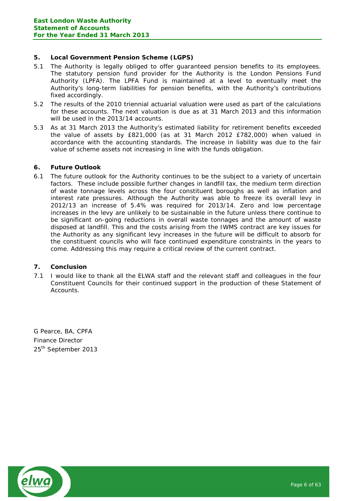# **5. Local Government Pension Scheme (LGPS)**

- 5.1 The Authority is legally obliged to offer guaranteed pension benefits to its employees. The statutory pension fund provider for the Authority is the London Pensions Fund Authority (LPFA). The LPFA Fund is maintained at a level to eventually meet the Authority's long-term liabilities for pension benefits, with the Authority's contributions fixed accordingly.
- 5.2 The results of the 2010 triennial actuarial valuation were used as part of the calculations for these accounts. The next valuation is due as at 31 March 2013 and this information will be used in the 2013/14 accounts.
- 5.3 As at 31 March 2013 the Authority's estimated liability for retirement benefits exceeded the value of assets by £821,000 (as at 31 March 2012 £782,000) when valued in accordance with the accounting standards. The increase in liability was due to the fair value of scheme assets not increasing in line with the funds obligation.

# **6. Future Outlook**

6.1 The future outlook for the Authority continues to be the subject to a variety of uncertain factors. These include possible further changes in landfill tax, the medium term direction of waste tonnage levels across the four constituent boroughs as well as inflation and interest rate pressures. Although the Authority was able to freeze its overall levy in 2012/13 an increase of 5.4% was required for 2013/14. Zero and low percentage increases in the levy are unlikely to be sustainable in the future unless there continue to be significant on-going reductions in overall waste tonnages and the amount of waste disposed at landfill. This and the costs arising from the IWMS contract are key issues for the Authority as any significant levy increases in the future will be difficult to absorb for the constituent councils who will face continued expenditure constraints in the years to come. Addressing this may require a critical review of the current contract.

## **7. Conclusion**

7.1 I would like to thank all the ELWA staff and the relevant staff and colleagues in the four Constituent Councils for their continued support in the production of these Statement of Accounts.

G Pearce, BA, CPFA Finance Director 25<sup>th</sup> September 2013

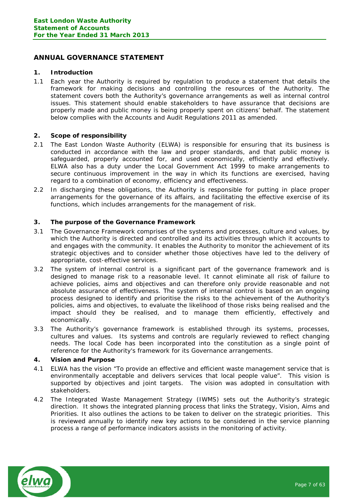# <span id="page-6-0"></span>**ANNUAL GOVERNANCE STATEMENT**

#### **1. Introduction**

1.1 Each year the Authority is required by regulation to produce a statement that details the framework for making decisions and controlling the resources of the Authority. The statement covers both the Authority's governance arrangements as well as internal control issues. This statement should enable stakeholders to have assurance that decisions are properly made and public money is being properly spent on citizens' behalf. The statement below complies with the Accounts and Audit Regulations 2011 as amended.

## **2. Scope of responsibility**

- 2.1 The East London Waste Authority (ELWA) is responsible for ensuring that its business is conducted in accordance with the law and proper standards, and that public money is safeguarded, properly accounted for, and used economically, efficiently and effectively. ELWA also has a duty under the Local Government Act 1999 to make arrangements to secure continuous improvement in the way in which its functions are exercised, having regard to a combination of economy, efficiency and effectiveness.
- 2.2 In discharging these obligations, the Authority is responsible for putting in place proper arrangements for the governance of its affairs, and facilitating the effective exercise of its functions, which includes arrangements for the management of risk.

#### **3. The purpose of the Governance Framework**

- 3.1 The Governance Framework comprises of the systems and processes, culture and values, by which the Authority is directed and controlled and its activities through which it accounts to and engages with the community. It enables the Authority to monitor the achievement of its strategic objectives and to consider whether those objectives have led to the delivery of appropriate, cost-effective services.
- 3.2 The system of internal control is a significant part of the governance framework and is designed to manage risk to a reasonable level. It cannot eliminate all risk of failure to achieve policies, aims and objectives and can therefore only provide reasonable and not absolute assurance of effectiveness. The system of internal control is based on an ongoing process designed to identify and prioritise the risks to the achievement of the Authority's policies, aims and objectives, to evaluate the likelihood of those risks being realised and the impact should they be realised, and to manage them efficiently, effectively and economically.
- 3.3 The Authority's governance framework is established through its systems, processes, cultures and values. Its systems and controls are regularly reviewed to reflect changing needs. The local Code has been incorporated into the constitution as a single point of reference for the Authority's framework for its Governance arrangements.

#### **4. Vision and Purpose**

- 4.1 ELWA has the vision "To provide an effective and efficient waste management service that is environmentally acceptable and delivers services that local people value". This vision is supported by objectives and joint targets. The vision was adopted in consultation with stakeholders.
- 4.2 The Integrated Waste Management Strategy (IWMS) sets out the Authority's strategic direction. It shows the integrated planning process that links the Strategy, Vision, Aims and Priorities. It also outlines the actions to be taken to deliver on the strategic priorities. This is reviewed annually to identify new key actions to be considered in the service planning process a range of performance indicators assists in the monitoring of activity.

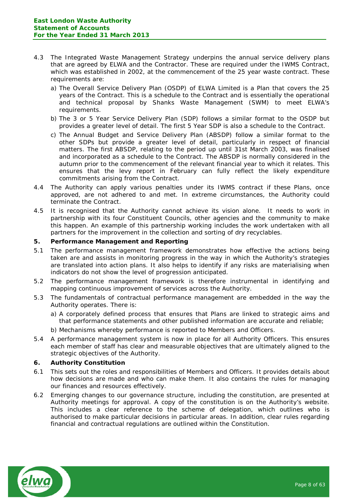- 4.3 The Integrated Waste Management Strategy underpins the annual service delivery plans that are agreed by ELWA and the Contractor. These are required under the IWMS Contract, which was established in 2002, at the commencement of the 25 year waste contract. These requirements are:
	- a) The Overall Service Delivery Plan (OSDP) of ELWA Limited is a Plan that covers the 25 years of the Contract. This is a schedule to the Contract and is essentially the operational and technical proposal by Shanks Waste Management (SWM) to meet ELWA's requirements.
	- b) The 3 or 5 Year Service Delivery Plan (SDP) follows a similar format to the OSDP but provides a greater level of detail. The first 5 Year SDP is also a schedule to the Contract.
	- c) The Annual Budget and Service Delivery Plan (ABSDP) follow a similar format to the other SDPs but provide a greater level of detail, particularly in respect of financial matters. The first ABSDP, relating to the period up until 31st March 2003, was finalised and incorporated as a schedule to the Contract. The ABSDP is normally considered in the autumn prior to the commencement of the relevant financial year to which it relates. This ensures that the levy report in February can fully reflect the likely expenditure commitments arising from the Contract.
- 4.4 The Authority can apply various penalties under its IWMS contract if these Plans, once approved, are not adhered to and met. In extreme circumstances, the Authority could terminate the Contract.
- 4.5 It is recognised that the Authority cannot achieve its vision alone. It needs to work in partnership with its four Constituent Councils, other agencies and the community to make this happen. An example of this partnership working includes the work undertaken with all partners for the improvement in the collection and sorting of dry recyclables.

## **5. Performance Management and Reporting**

- 5.1 The performance management framework demonstrates how effective the actions being taken are and assists in monitoring progress in the way in which the Authority's strategies are translated into action plans. It also helps to identify if any risks are materialising when indicators do not show the level of progression anticipated.
- 5.2 The performance management framework is therefore instrumental in identifying and mapping continuous improvement of services across the Authority.
- 5.3 The fundamentals of contractual performance management are embedded in the way the Authority operates. There is:
	- a) A corporately defined process that ensures that Plans are linked to strategic aims and that performance statements and other published information are accurate and reliable;
	- b) Mechanisms whereby performance is reported to Members and Officers.
- 5.4 A performance management system is now in place for all Authority Officers. This ensures each member of staff has clear and measurable objectives that are ultimately aligned to the strategic objectives of the Authority.

#### **6. Authority Constitution**

- 6.1 This sets out the roles and responsibilities of Members and Officers. It provides details about how decisions are made and who can make them. It also contains the rules for managing our finances and resources effectively.
- 6.2 Emerging changes to our governance structure, including the constitution, are presented at Authority meetings for approval. A copy of the constitution is on the Authority's website. This includes a clear reference to the scheme of delegation, which outlines who is authorised to make particular decisions in particular areas. In addition, clear rules regarding financial and contractual regulations are outlined within the Constitution.

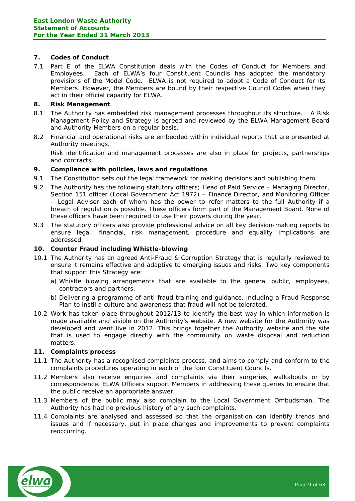# **7. Codes of Conduct**

7.1 Part E of the ELWA Constitution deals with the Codes of Conduct for Members and Employees. Each of ELWA's four Constituent Councils has adopted the mandatory provisions of the Model Code. ELWA is not required to adopt a Code of Conduct for its Members. However, the Members are bound by their respective Council Codes when they act in their official capacity for ELWA.

#### **8. Risk Management**

- 8.1 The Authority has embedded risk management processes throughout its structure. A Risk Management Policy and Strategy is agreed and reviewed by the ELWA Management Board and Authority Members on a regular basis.
- 8.2 Financial and operational risks are embedded within individual reports that are presented at Authority meetings.

Risk identification and management processes are also in place for projects, partnerships and contracts.

#### **9. Compliance with policies, laws and regulations**

- 9.1 The Constitution sets out the legal framework for making decisions and publishing them.
- 9.2 The Authority has the following statutory officers; Head of Paid Service Managing Director, Section 151 officer (Local Government Act 1972) – Finance Director, and Monitoring Officer – Legal Adviser each of whom has the power to refer matters to the full Authority if a breach of regulation is possible. These officers form part of the Management Board. None of these officers have been required to use their powers during the year.
- 9.3 The statutory officers also provide professional advice on all key decision-making reports to ensure legal, financial, risk management, procedure and equality implications are addressed.

#### **10. Counter Fraud including Whistle-blowing**

- 10.1 The Authority has an agreed Anti-Fraud & Corruption Strategy that is regularly reviewed to ensure it remains effective and adaptive to emerging issues and risks. Two key components that support this Strategy are:
	- a) Whistle blowing arrangements that are available to the general public, employees, contractors and partners.
	- b) Delivering a programme of anti-fraud training and guidance, including a Fraud Response Plan to instil a culture and awareness that fraud will not be tolerated.
- 10.2 Work has taken place throughout 2012/13 to identify the best way in which information is made available and visible on the Authority's website. A new website for the Authority was developed and went live in 2012. This brings together the Authority website and the site that is used to engage directly with the community on waste disposal and reduction matters.

#### **11. Complaints process**

- 11.1 The Authority has a recognised complaints process, and aims to comply and conform to the complaints procedures operating in each of the four Constituent Councils.
- 11.2 Members also receive enquiries and complaints via their surgeries, walkabouts or by correspondence. ELWA Officers support Members in addressing these queries to ensure that the public receive an appropriate answer.
- 11.3 Members of the public may also complain to the Local Government Ombudsman. The Authority has had no previous history of any such complaints.
- 11.4 Complaints are analysed and assessed so that the organisation can identify trends and issues and if necessary, put in place changes and improvements to prevent complaints reoccurring.

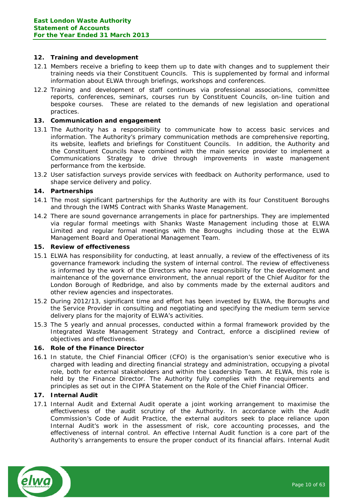## **12. Training and development**

- 12.1 Members receive a briefing to keep them up to date with changes and to supplement their training needs via their Constituent Councils. This is supplemented by formal and informal information about ELWA through briefings, workshops and conferences.
- 12.2 Training and development of staff continues via professional associations, committee reports, conferences, seminars, courses run by Constituent Councils, on-line tuition and bespoke courses. These are related to the demands of new legislation and operational practices.

#### **13. Communication and engagement**

- 13.1 The Authority has a responsibility to communicate how to access basic services and information. The Authority's primary communication methods are comprehensive reporting, its website, leaflets and briefings for Constituent Councils. In addition, the Authority and the Constituent Councils have combined with the main service provider to implement a Communications Strategy to drive through improvements in waste management performance from the kerbside.
- 13.2 User satisfaction surveys provide services with feedback on Authority performance, used to shape service delivery and policy.

#### **14. Partnerships**

- 14.1 The most significant partnerships for the Authority are with its four Constituent Boroughs and through the IWMS Contract with Shanks Waste Management.
- 14.2 There are sound governance arrangements in place for partnerships. They are implemented via regular formal meetings with Shanks Waste Management including those at ELWA Limited and regular formal meetings with the Boroughs including those at the ELWA Management Board and Operational Management Team.

#### **15. Review of effectiveness**

- 15.1 ELWA has responsibility for conducting, at least annually, a review of the effectiveness of its governance framework including the system of internal control. The review of effectiveness is informed by the work of the Directors who have responsibility for the development and maintenance of the governance environment, the annual report of the Chief Auditor for the London Borough of Redbridge, and also by comments made by the external auditors and other review agencies and inspectorates.
- 15.2 During 2012/13, significant time and effort has been invested by ELWA, the Boroughs and the Service Provider in consulting and negotiating and specifying the medium term service delivery plans for the majority of ELWA's activities.
- 15.3 The 5 yearly and annual processes, conducted within a formal framework provided by the Integrated Waste Management Strategy and Contract, enforce a disciplined review of objectives and effectiveness.

#### **16. Role of the Finance Director**

16.1 In statute, the Chief Financial Officer (CFO) is the organisation's senior executive who is charged with leading and directing financial strategy and administration, occupying a pivotal role, both for external stakeholders and within the Leadership Team. At ELWA, this role is held by the Finance Director. The Authority fully complies with the requirements and principles as set out in the CIPFA Statement on the Role of the Chief Financial Officer.

## **17. Internal Audit**

17.1 Internal Audit and External Audit operate a joint working arrangement to maximise the effectiveness of the audit scrutiny of the Authority. In accordance with the Audit Commission's Code of Audit Practice, the external auditors seek to place reliance upon Internal Audit's work in the assessment of risk, core accounting processes, and the effectiveness of internal control. An effective Internal Audit function is a core part of the Authority's arrangements to ensure the proper conduct of its financial affairs. Internal Audit

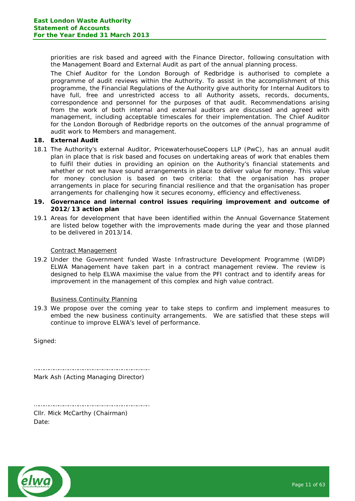priorities are risk based and agreed with the Finance Director, following consultation with the Management Board and External Audit as part of the annual planning process.

The Chief Auditor for the London Borough of Redbridge is authorised to complete a programme of audit reviews within the Authority. To assist in the accomplishment of this programme, the Financial Regulations of the Authority give authority for Internal Auditors to have full, free and unrestricted access to all Authority assets, records, documents, correspondence and personnel for the purposes of that audit. Recommendations arising from the work of both internal and external auditors are discussed and agreed with management, including acceptable timescales for their implementation. The Chief Auditor for the London Borough of Redbridge reports on the outcomes of the annual programme of audit work to Members and management.

#### **18. External Audit**

18.1 The Authority's external Auditor, PricewaterhouseCoopers LLP (PwC), has an annual audit plan in place that is risk based and focuses on undertaking areas of work that enables them to fulfil their duties in providing an opinion on the Authority's financial statements and whether or not we have sound arrangements in place to deliver value for money. This value for money conclusion is based on two criteria: that the organisation has proper arrangements in place for securing financial resilience and that the organisation has proper arrangements for challenging how it secures economy, efficiency and effectiveness.

## **19. Governance and internal control issues requiring improvement and outcome of 2012/13 action plan**

19.1 Areas for development that have been identified within the Annual Governance Statement are listed below together with the improvements made during the year and those planned to be delivered in 2013/14.

#### Contract Management

19.2 Under the Government funded Waste Infrastructure Development Programme (WIDP) ELWA Management have taken part in a contract management review. The review is designed to help ELWA maximise the value from the PFI contract and to identify areas for improvement in the management of this complex and high value contract.

#### Business Continuity Planning

19.3 We propose over the coming year to take steps to confirm and implement measures to embed the new business continuity arrangements. We are satisfied that these steps will continue to improve ELWA's level of performance.

Signed:

…………………………………………………………….. Mark Ash (Acting Managing Director)

…………………………………………………………….. Cllr. Mick McCarthy (Chairman) Date:

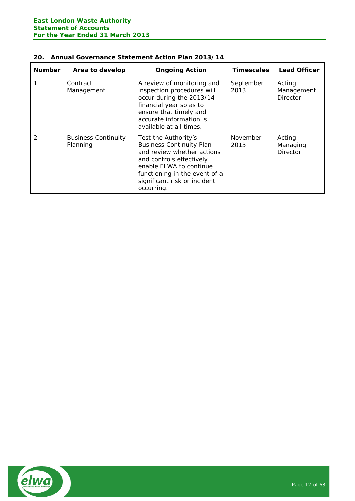| 20. Annual Governance Statement Action Plan 2013/14 |  |  |  |
|-----------------------------------------------------|--|--|--|
|                                                     |  |  |  |

| <b>Number</b> | Area to develop                        | <b>Ongoing Action</b>                                                                                                                                                                                                       | <b>Timescales</b> | <b>Lead Officer</b>                     |
|---------------|----------------------------------------|-----------------------------------------------------------------------------------------------------------------------------------------------------------------------------------------------------------------------------|-------------------|-----------------------------------------|
|               | Contract<br>Management                 | A review of monitoring and<br>inspection procedures will<br>occur during the 2013/14<br>financial year so as to<br>ensure that timely and<br>accurate information is<br>available at all times.                             | September<br>2013 | Acting<br>Management<br><b>Director</b> |
| $\mathcal{P}$ | <b>Business Continuity</b><br>Planning | Test the Authority's<br><b>Business Continuity Plan</b><br>and review whether actions<br>and controls effectively<br>enable ELWA to continue<br>functioning in the event of a<br>significant risk or incident<br>occurring. | November<br>2013  | Acting<br>Managing<br><b>Director</b>   |

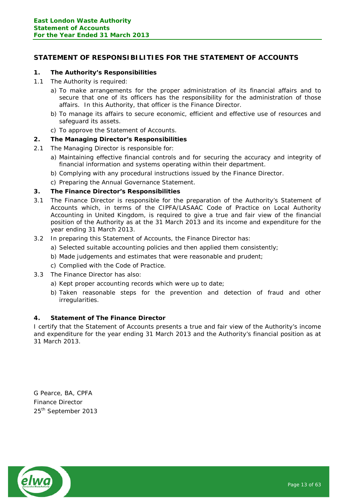# <span id="page-12-0"></span>**STATEMENT OF RESPONSIBILITIES FOR THE STATEMENT OF ACCOUNTS**

# **1. The Authority's Responsibilities**

- 1.1 The Authority is required:
	- a) To make arrangements for the proper administration of its financial affairs and to secure that one of its officers has the responsibility for the administration of those affairs. In this Authority, that officer is the Finance Director.
	- b) To manage its affairs to secure economic, efficient and effective use of resources and safeguard its assets.
	- c) To approve the Statement of Accounts.

## **2. The Managing Director's Responsibilities**

- 2.1 The Managing Director is responsible for:
	- a) Maintaining effective financial controls and for securing the accuracy and integrity of financial information and systems operating within their department.
	- b) Complying with any procedural instructions issued by the Finance Director.
	- c) Preparing the Annual Governance Statement.

#### **3. The Finance Director's Responsibilities**

- 3.1 The Finance Director is responsible for the preparation of the Authority's Statement of Accounts which, in terms of the CIPFA/LASAAC Code of Practice on Local Authority Accounting in United Kingdom, is required to give a true and fair view of the financial position of the Authority as at the 31 March 2013 and its income and expenditure for the year ending 31 March 2013.
- 3.2 In preparing this Statement of Accounts, the Finance Director has:
	- a) Selected suitable accounting policies and then applied them consistently;
	- b) Made judgements and estimates that were reasonable and prudent;
	- c) Complied with the Code of Practice.
- 3.3 The Finance Director has also:
	- a) Kept proper accounting records which were up to date;
	- b) Taken reasonable steps for the prevention and detection of fraud and other irregularities.

## **4. Statement of The Finance Director**

I certify that the Statement of Accounts presents a true and fair view of the Authority's income and expenditure for the year ending 31 March 2013 and the Authority's financial position as at 31 March 2013.

G Pearce, BA, CPFA Finance Director 25<sup>th</sup> September 2013

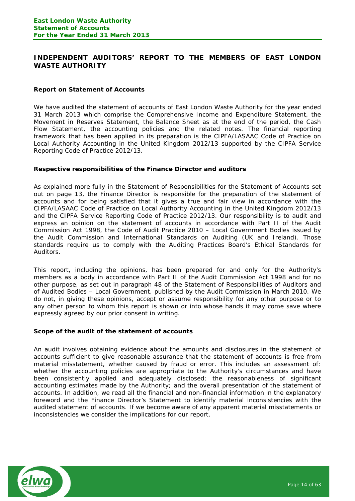# <span id="page-13-0"></span>**INDEPENDENT AUDITORS' REPORT TO THE MEMBERS OF EAST LONDON WASTE AUTHORITY**

## **Report on Statement of Accounts**

We have audited the statement of accounts of East London Waste Authority for the year ended 31 March 2013 which comprise the Comprehensive Income and Expenditure Statement, the Movement in Reserves Statement, the Balance Sheet as at the end of the period, the Cash Flow Statement, the accounting policies and the related notes. The financial reporting framework that has been applied in its preparation is the CIPFA/LASAAC Code of Practice on Local Authority Accounting in the United Kingdom 2012/13 supported by the CIPFA Service Reporting Code of Practice 2012/13.

#### **Respective responsibilities of the Finance Director and auditors**

As explained more fully in the Statement of Responsibilities for the Statement of Accounts set out on page 13, the Finance Director is responsible for the preparation of the statement of accounts and for being satisfied that it gives a true and fair view in accordance with the CIPFA/LASAAC Code of Practice on Local Authority Accounting in the United Kingdom 2012/13 and the CIPFA Service Reporting Code of Practice 2012/13. Our responsibility is to audit and express an opinion on the statement of accounts in accordance with Part II of the Audit Commission Act 1998, the Code of Audit Practice 2010 – Local Government Bodies issued by the Audit Commission and International Standards on Auditing (UK and Ireland). Those standards require us to comply with the Auditing Practices Board's Ethical Standards for Auditors.

This report, including the opinions, has been prepared for and only for the Authority's members as a body in accordance with Part II of the Audit Commission Act 1998 and for no other purpose, as set out in paragraph 48 of the Statement of Responsibilities of Auditors and of Audited Bodies – Local Government, published by the Audit Commission in March 2010. We do not, in giving these opinions, accept or assume responsibility for any other purpose or to any other person to whom this report is shown or into whose hands it may come save where expressly agreed by our prior consent in writing.

#### **Scope of the audit of the statement of accounts**

An audit involves obtaining evidence about the amounts and disclosures in the statement of accounts sufficient to give reasonable assurance that the statement of accounts is free from material misstatement, whether caused by fraud or error. This includes an assessment of: whether the accounting policies are appropriate to the Authority's circumstances and have been consistently applied and adequately disclosed; the reasonableness of significant accounting estimates made by the Authority; and the overall presentation of the statement of accounts. In addition, we read all the financial and non-financial information in the explanatory foreword and the Finance Director's Statement to identify material inconsistencies with the audited statement of accounts. If we become aware of any apparent material misstatements or inconsistencies we consider the implications for our report.

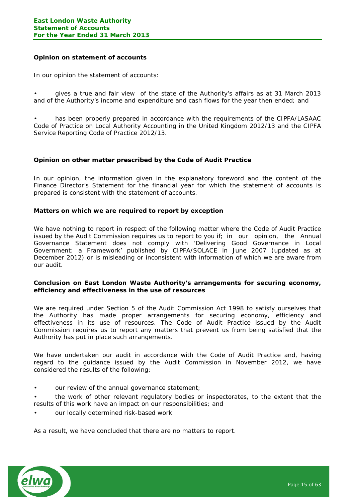#### **Opinion on statement of accounts**

In our opinion the statement of accounts:

• gives a true and fair view of the state of the Authority's affairs as at 31 March 2013 and of the Authority's income and expenditure and cash flows for the year then ended; and

has been properly prepared in accordance with the requirements of the CIPFA/LASAAC Code of Practice on Local Authority Accounting in the United Kingdom 2012/13 and the CIPFA Service Reporting Code of Practice 2012/13.

#### **Opinion on other matter prescribed by the Code of Audit Practice**

In our opinion, the information given in the explanatory foreword and the content of the Finance Director's Statement for the financial year for which the statement of accounts is prepared is consistent with the statement of accounts.

#### **Matters on which we are required to report by exception**

We have nothing to report in respect of the following matter where the Code of Audit Practice issued by the Audit Commission requires us to report to you if; in our opinion, the Annual Governance Statement does not comply with 'Delivering Good Governance in Local Government: a Framework' published by CIPFA/SOLACE in June 2007 (updated as at December 2012) or is misleading or inconsistent with information of which we are aware from our audit.

#### **Conclusion on East London Waste Authority's arrangements for securing economy, efficiency and effectiveness in the use of resources**

We are required under Section 5 of the Audit Commission Act 1998 to satisfy ourselves that the Authority has made proper arrangements for securing economy, efficiency and effectiveness in its use of resources. The Code of Audit Practice issued by the Audit Commission requires us to report any matters that prevent us from being satisfied that the Authority has put in place such arrangements.

We have undertaken our audit in accordance with the Code of Audit Practice and, having regard to the guidance issued by the Audit Commission in November 2012, we have considered the results of the following:

our review of the annual governance statement;

• the work of other relevant regulatory bodies or inspectorates, to the extent that the results of this work have an impact on our responsibilities; and

our locally determined risk-based work

As a result, we have concluded that there are no matters to report.

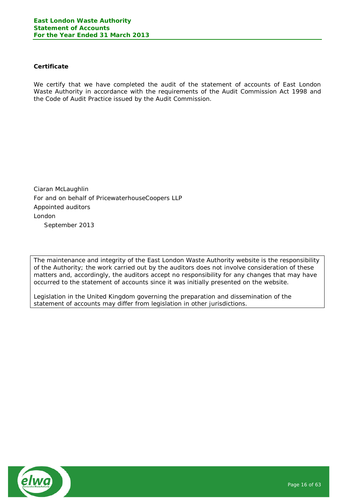# **Certificate**

We certify that we have completed the audit of the statement of accounts of East London Waste Authority in accordance with the requirements of the Audit Commission Act 1998 and the Code of Audit Practice issued by the Audit Commission.

Ciaran McLaughlin For and on behalf of PricewaterhouseCoopers LLP Appointed auditors London September 2013

The maintenance and integrity of the East London Waste Authority website is the responsibility of the Authority; the work carried out by the auditors does not involve consideration of these matters and, accordingly, the auditors accept no responsibility for any changes that may have occurred to the statement of accounts since it was initially presented on the website.

Legislation in the United Kingdom governing the preparation and dissemination of the statement of accounts may differ from legislation in other jurisdictions.

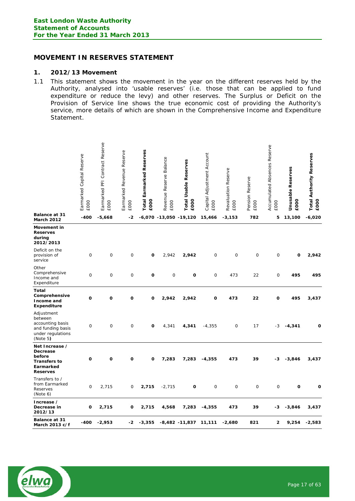# **MOVEMENT IN RESERVES STATEMENT**

#### **1. 2012/13 Movement**

1.1 This statement shows the movement in the year on the different reserves held by the Authority, analysed into 'usable reserves' (i.e. those that can be applied to fund expenditure or reduce the levy) and other reserves. The Surplus or Deficit on the Provision of Service line shows the true economic cost of providing the Authority's service, more details of which are shown in the Comprehensive Income and Expenditure Statement.

|                                                                                                 | Earmarked Capital Reserve<br>£000 | Earmarked PFI Contract Reserve<br>£000 | Earmarked Revenue Reserve<br><b>EOOO</b> | <b>Total Earmarked Reserves</b><br>£000 | Revenue Reserve Balance<br><b>EOOO</b> | <b>Total Usable Reserves</b><br>£000 | Capital Adjustment Account<br><b>EOOO</b> | Revaluation Reserve<br><b>EOOO</b> | Reserve<br>Pension<br><b>EOOO</b> | Accumulated Absences Reserve<br><b>EOOO</b> | <b>Jnusable Reserves</b><br>£000 | <b>Total Authority Reserves</b><br>£000 |
|-------------------------------------------------------------------------------------------------|-----------------------------------|----------------------------------------|------------------------------------------|-----------------------------------------|----------------------------------------|--------------------------------------|-------------------------------------------|------------------------------------|-----------------------------------|---------------------------------------------|----------------------------------|-----------------------------------------|
| Balance at 31<br>March 2012                                                                     | -400                              | $-5,668$                               | -2                                       |                                         | $-6,070 - 13,050 - 19,120$             |                                      | 15,466                                    | $-3,153$                           | 782                               | 5                                           | 13,100                           | $-6,020$                                |
| Movement in<br><b>Reserves</b><br>during<br>2012/2013                                           |                                   |                                        |                                          |                                         |                                        |                                      |                                           |                                    |                                   |                                             |                                  |                                         |
| Deficit on the<br>provision of<br>service                                                       | 0                                 | 0                                      | 0                                        | O                                       | 2,942                                  | 2,942                                | 0                                         | $\mathbf 0$                        | 0                                 | $\mathbf 0$                                 | O                                | 2,942                                   |
| Other<br>Comprehensive<br>Income and<br>Expenditure                                             | 0                                 | 0                                      | 0                                        | 0                                       | 0                                      | O                                    | 0                                         | 473                                | 22                                | 0                                           | 495                              | 495                                     |
| Total<br>Comprehensive<br>Income and<br><b>Expenditure</b>                                      | O                                 | O                                      | O                                        | O                                       | 2,942                                  | 2,942                                | 0                                         | 473                                | 22                                | O                                           | 495                              | 3,437                                   |
| Adjustment<br>between<br>accounting basis<br>and funding basis<br>under regulations<br>(Note 5) | 0                                 | 0                                      | 0                                        | O                                       | 4,341                                  | 4,341                                | $-4,355$                                  | $\mathbf 0$                        | 17                                | $-3$                                        | $-4,341$                         | O                                       |
| Net Increase /<br>Decrease<br>before<br><b>Transfers to</b><br>Earmarked<br><b>Reserves</b>     | O                                 | O                                      | O                                        | O                                       | 7,283                                  | 7,283                                | $-4,355$                                  | 473                                | 39                                | -3                                          | $-3,846$                         | 3,437                                   |
| Transfers to /<br>from Earmarked<br>Reserves<br>(Note 6)                                        | 0                                 | 2,715                                  | 0                                        | 2,715                                   | $-2,715$                               | O                                    | 0                                         | $\mathbf 0$                        | 0                                 | $\mathbf 0$                                 | $\mathbf o$                      | O                                       |
| Increase /<br>Decrease in<br>2012/13                                                            | o                                 | 2,715                                  | o                                        | 2,715                                   | 4,568                                  | 7,283                                | $-4,355$                                  | 473                                | 39                                | -3                                          | $-3,846$                         | 3,437                                   |
| <b>Balance at 31</b><br>March 2013 c/f                                                          | $-400$                            | $-2,953$                               | -2                                       | $-3,355$                                |                                        | -8,482 -11,837                       | 11,111                                    | $-2,680$                           | 821                               | 2                                           | 9,254                            | $-2,583$                                |

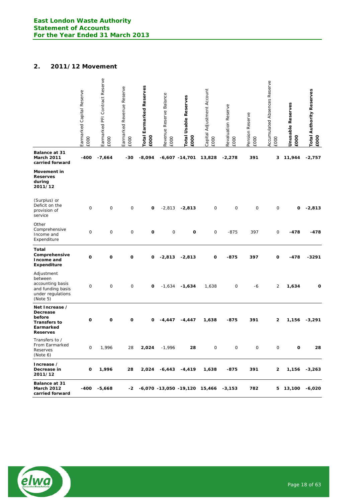# **2. 2011/12 Movement**

|                                                                                                 | Earmarked Capital Reserve<br><b>EOOO</b> | Earmarked PFI Contract Reserve<br><b>EOOO</b> | Reserve<br>Earmarked Revenue<br><b>EOOO</b> | Total Earmarked Reserves<br>£000 | Revenue Reserve Balance<br>£000 | <b>Total Usable Reserves</b><br>£000  | Capital Adjustment Account<br>EOOO | Revaluation Reserve<br>EOOO | Pension Reserve<br>£000 | Accumulated Absences Reserve<br><b>EOOO</b> | <b>Jnusable Reserves</b><br>£000 | <b>Total Authority Reserves</b><br>£000 |
|-------------------------------------------------------------------------------------------------|------------------------------------------|-----------------------------------------------|---------------------------------------------|----------------------------------|---------------------------------|---------------------------------------|------------------------------------|-----------------------------|-------------------------|---------------------------------------------|----------------------------------|-----------------------------------------|
| <b>Balance at 31</b><br>March 2011<br>carried forward                                           | -400                                     | $-7,664$                                      | -30                                         | $-8,094$                         |                                 | $-6,607 - 14,701$                     | 13,828                             | $-2,278$                    | 391                     | 3                                           | 11,944                           | $-2,757$                                |
| Movement in<br><b>Reserves</b><br>during<br>2011/12                                             |                                          |                                               |                                             |                                  |                                 |                                       |                                    |                             |                         |                                             |                                  |                                         |
| (Surplus) or<br>Deficit on the<br>provision of<br>service                                       | $\mathbf 0$                              | 0                                             | 0                                           | O                                | $-2,813$                        | $-2,813$                              | 0                                  | $\mathbf 0$                 | 0                       | $\mathsf{O}$                                | 0                                | $-2,813$                                |
| Other<br>Comprehensive<br>Income and<br>Expenditure                                             | 0                                        | 0                                             | $\mathbf 0$                                 | O                                | 0                               | O                                     | 0                                  | $-875$                      | 397                     | 0                                           | -478                             | -478                                    |
| Total<br>Comprehensive<br>Income and<br><b>Expenditure</b>                                      | O                                        | O                                             | O                                           | 0                                | $-2,813$                        | $-2,813$                              | O                                  | -875                        | 397                     | 0                                           | -478                             | -3291                                   |
| Adjustment<br>between<br>accounting basis<br>and funding basis<br>under regulations<br>(Note 5) | $\mathbf 0$                              | 0                                             | $\mathbf 0$                                 | O                                | $-1,634$                        | $-1,634$                              | 1,638                              | 0                           | -6                      | $\overline{c}$                              | 1,634                            | O                                       |
| Net Increase /<br>Decrease<br>before<br><b>Transfers to</b><br>Earmarked<br><b>Reserves</b>     | O                                        | o                                             | O                                           | 0                                | -4,447                          | $-4,447$                              | 1,638                              | -875                        | 391                     | 2                                           | 1,156                            | $-3,291$                                |
| Transfers to /<br>From Earmarked<br>Reserves<br>(Note 6)                                        | 0                                        | 1,996                                         | 28                                          | 2,024                            | $-1,996$                        | 28                                    | 0                                  | 0                           | 0                       | $\mathsf O$                                 | o                                | 28                                      |
| Increase /<br>Decrease in<br>2011/12                                                            | o                                        | 1,996                                         | 28                                          | 2,024                            | $-6,443$                        | $-4,419$                              | 1,638                              | -875                        | 391                     | 2                                           | 1,156                            | $-3,263$                                |
| Balance at 31<br>March 2012<br>carried forward                                                  | -400                                     | $-5,668$                                      | -2                                          |                                  |                                 | $-6,070$ $-13,050$ $-19,120$ $15,466$ |                                    | $-3,153$                    | 782                     | 5                                           | 13,100                           | $-6,020$                                |

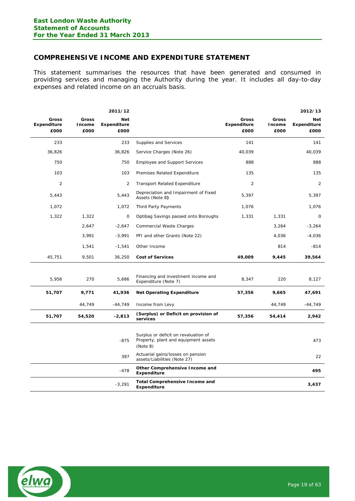# <span id="page-18-0"></span>**COMPREHENSIVE INCOME AND EXPENDITURE STATEMENT**

This statement summarises the resources that have been generated and consumed in providing services and managing the Authority during the year. It includes all day-to-day expenses and related income on an accruals basis.

|                                     |                         | 2011/12                                  |                                                                                          |                                            |                         | 2012/13                                  |
|-------------------------------------|-------------------------|------------------------------------------|------------------------------------------------------------------------------------------|--------------------------------------------|-------------------------|------------------------------------------|
| Gross<br><b>Expenditure</b><br>£000 | Gross<br>Income<br>£000 | <b>Net</b><br><b>Expenditure</b><br>£000 |                                                                                          | <b>Gross</b><br><b>Expenditure</b><br>£000 | Gross<br>Income<br>£000 | <b>Net</b><br><b>Expenditure</b><br>£000 |
| 233                                 |                         | 233                                      | Supplies and Services                                                                    | 141                                        |                         | 141                                      |
| 36,826                              |                         | 36,826                                   | Service Charges (Note 26)                                                                | 40,039                                     |                         | 40,039                                   |
| 750                                 |                         | 750                                      | <b>Employee and Support Services</b>                                                     | 888                                        |                         | 888                                      |
| 103                                 |                         | 103                                      | Premises Related Expenditure                                                             | 135                                        |                         | 135                                      |
| $\overline{2}$                      |                         | 2                                        | <b>Transport Related Expenditure</b>                                                     | $\overline{2}$                             |                         | $\overline{2}$                           |
| 5,443                               |                         | 5,443                                    | Depreciation and Impairment of Fixed<br>Assets (Note 8)                                  | 5,397                                      |                         | 5,397                                    |
| 1,072                               |                         | 1,072                                    | Third Party Payments                                                                     | 1,076                                      |                         | 1,076                                    |
| 1,322                               | 1,322                   | $\mathbf 0$                              | Optibag Savings passed onto Boroughs                                                     | 1,331                                      | 1,331                   | $\mathbf 0$                              |
|                                     | 2,647                   | $-2,647$                                 | <b>Commercial Waste Charges</b>                                                          |                                            | 3,264                   | $-3,264$                                 |
|                                     | 3,991                   | $-3,991$                                 | PFI and other Grants (Note 22)                                                           |                                            | 4,036                   | $-4,036$                                 |
|                                     | 1,541                   | $-1,541$                                 | Other Income                                                                             |                                            | 814                     | $-814$                                   |
| 45,751                              | 9,501                   | 36,250                                   | <b>Cost of Services</b>                                                                  | 49,009                                     | 9,445                   | 39,564                                   |
|                                     |                         |                                          |                                                                                          |                                            |                         |                                          |
| 5,956                               | 270                     | 5,686                                    | Financing and investment income and<br>Expenditure (Note 7)                              | 8,347                                      | 220                     | 8,127                                    |
| 51,707                              | 9,771                   | 41,936                                   | <b>Net Operating Expenditure</b>                                                         | 57,356                                     | 9,665                   | 47,691                                   |
|                                     | 44,749                  | $-44,749$                                | Income from Levy                                                                         |                                            | 44,749                  | $-44,749$                                |
| 51,707                              | 54,520                  | $-2,813$                                 | (Surplus) or Deficit on provision of<br>services                                         | 57,356                                     | 54,414                  | 2,942                                    |
|                                     |                         | $-875$                                   | Surplus or deficit on revaluation of<br>Property, plant and equipment assets<br>(Note 8) |                                            |                         | 473                                      |
|                                     |                         | 397                                      | Actuarial gains/losses on pension<br>assets/Liabilities (Note 27)                        |                                            |                         | 22                                       |
|                                     |                         | $-478$                                   | Other Comprehensive Income and<br><b>Expenditure</b>                                     |                                            |                         | 495                                      |
|                                     |                         | $-3,291$                                 | <b>Total Comprehensive Income and</b><br>Expenditure                                     |                                            |                         | 3,437                                    |

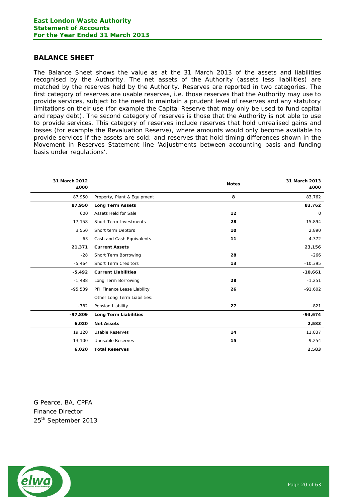# <span id="page-19-0"></span>**BALANCE SHEET**

The Balance Sheet shows the value as at the 31 March 2013 of the assets and liabilities recognised by the Authority. The net assets of the Authority (assets less liabilities) are matched by the reserves held by the Authority. Reserves are reported in two categories. The first category of reserves are usable reserves, i.e. those reserves that the Authority may use to provide services, subject to the need to maintain a prudent level of reserves and any statutory limitations on their use (for example the Capital Reserve that may only be used to fund capital and repay debt). The second category of reserves is those that the Authority is not able to use to provide services. This category of reserves include reserves that hold unrealised gains and losses (for example the Revaluation Reserve), where amounts would only become available to provide services if the assets are sold; and reserves that hold timing differences shown in the Movement in Reserves Statement line 'Adjustments between accounting basis and funding basis under regulations'.

| 31 March 2012<br>£000 |                               | <b>Notes</b> | 31 March 2013<br>£000 |
|-----------------------|-------------------------------|--------------|-----------------------|
| 87,950                | Property, Plant & Equipment   | 8            | 83,762                |
| 87,950                | <b>Long Term Assets</b>       |              | 83,762                |
| 600                   | Assets Held for Sale          | 12           | 0                     |
| 17,158                | <b>Short Term Investments</b> | 28           | 15,894                |
| 3,550                 | Short term Debtors            | 10           | 2,890                 |
| 63                    | Cash and Cash Equivalents     | 11           | 4,372                 |
| 21,371                | <b>Current Assets</b>         |              | 23,156                |
| $-28$                 | Short Term Borrowing          | 28           | $-266$                |
| $-5,464$              | <b>Short Term Creditors</b>   | 13           | $-10,395$             |
| $-5,492$              | <b>Current Liabilities</b>    |              | $-10,661$             |
| $-1,488$              | Long Term Borrowing           | 28           | $-1,251$              |
| $-95,539$             | PFI Finance Lease Liability   | 26           | $-91,602$             |
|                       | Other Long Term Liabilities:  |              |                       |
| $-782$                | Pension Liability             | 27           | $-821$                |
| $-97,809$             | <b>Long Term Liabilities</b>  |              | $-93,674$             |
| 6,020                 | <b>Net Assets</b>             |              | 2,583                 |
| 19,120                | <b>Usable Reserves</b>        | 14           | 11,837                |
| $-13,100$             | Unusable Reserves             | 15           | $-9,254$              |
| 6,020                 | <b>Total Reserves</b>         |              | 2,583                 |

G Pearce, BA, CPFA Finance Director 25<sup>th</sup> September 2013

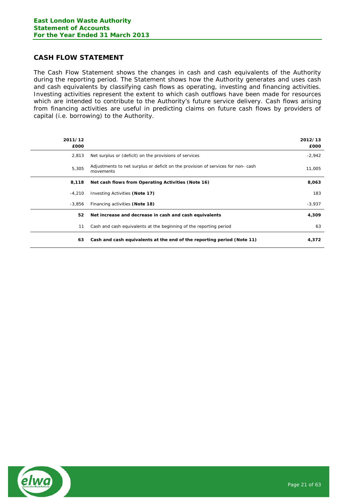# <span id="page-20-0"></span>**CASH FLOW STATEMENT**

The Cash Flow Statement shows the changes in cash and cash equivalents of the Authority during the reporting period. The Statement shows how the Authority generates and uses cash and cash equivalents by classifying cash flows as operating, investing and financing activities. Investing activities represent the extent to which cash outflows have been made for resources which are intended to contribute to the Authority's future service delivery. Cash flows arising from financing activities are useful in predicting claims on future cash flows by providers of capital (i.e. borrowing) to the Authority.

| 2011/12<br>£000 |                                                                                              | 2012/13<br>£000 |
|-----------------|----------------------------------------------------------------------------------------------|-----------------|
| 2,813           | Net surplus or (deficit) on the provisions of services                                       | $-2,942$        |
| 5,305           | Adjustments to net surplus or deficit on the provision of services for non-cash<br>movements | 11,005          |
| 8,118           | Net cash flows from Operating Activities (Note 16)                                           | 8,063           |
| $-4,210$        | Investing Activities (Note 17)                                                               | 183             |
| -3.856          | Financing activities (Note 18)                                                               | $-3,937$        |
| 52              | Net increase and decrease in cash and cash equivalents                                       | 4,309           |
| 11              | Cash and cash equivalents at the beginning of the reporting period                           | 63              |
| 63              | Cash and cash equivalents at the end of the reporting period (Note 11)                       | 4,372           |

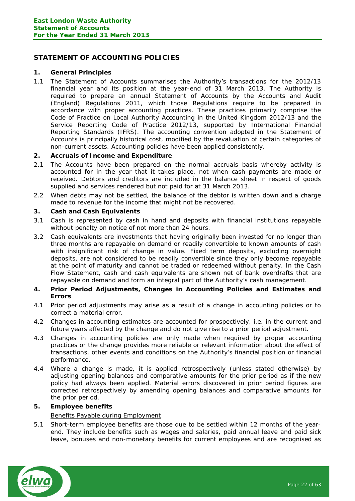# <span id="page-21-0"></span>**STATEMENT OF ACCOUNTING POLICIES**

# **1. General Principles**

1.1 The Statement of Accounts summarises the Authority's transactions for the 2012/13 financial year and its position at the year-end of 31 March 2013. The Authority is required to prepare an annual Statement of Accounts by the Accounts and Audit (England) Regulations 2011, which those Regulations require to be prepared in accordance with proper accounting practices. These practices primarily comprise the *Code of Practice on Local Authority Accounting in the United Kingdom 2012/13* and the *Service Reporting Code of Practice 2012/13*, supported by International Financial Reporting Standards (IFRS). The accounting convention adopted in the Statement of Accounts is principally historical cost, modified by the revaluation of certain categories of non-current assets. Accounting policies have been applied consistently.

# **2. Accruals of Income and Expenditure**

- 2.1 The Accounts have been prepared on the normal accruals basis whereby activity is accounted for in the year that it takes place, not when cash payments are made or received. Debtors and creditors are included in the balance sheet in respect of goods supplied and services rendered but not paid for at 31 March 2013.
- 2.2 When debts may not be settled, the balance of the debtor is written down and a charge made to revenue for the income that might not be recovered.

# **3. Cash and Cash Equivalents**

- 3.1 Cash is represented by cash in hand and deposits with financial institutions repayable without penalty on notice of not more than 24 hours.
- 3.2 Cash equivalents are investments that having originally been invested for no longer than three months are repayable on demand or readily convertible to known amounts of cash with insignificant risk of change in value. Fixed term deposits, excluding overnight deposits, are not considered to be readily convertible since they only become repayable at the point of maturity and cannot be traded or redeemed without penalty. In the Cash Flow Statement, cash and cash equivalents are shown net of bank overdrafts that are repayable on demand and form an integral part of the Authority's cash management.
- **4. Prior Period Adjustments, Changes in Accounting Policies and Estimates and Errors**
- 4.1 Prior period adjustments may arise as a result of a change in accounting policies or to correct a material error.
- 4.2 Changes in accounting estimates are accounted for prospectively, i.e. in the current and future years affected by the change and do not give rise to a prior period adjustment.
- 4.3 Changes in accounting policies are only made when required by proper accounting practices or the change provides more reliable or relevant information about the effect of transactions, other events and conditions on the Authority's financial position or financial performance.
- 4.4 Where a change is made, it is applied retrospectively (unless stated otherwise) by adjusting opening balances and comparative amounts for the prior period as if the new policy had always been applied. Material errors discovered in prior period figures are corrected retrospectively by amending opening balances and comparative amounts for the prior period.

# **5. Employee benefits**

# Benefits Payable during Employment

5.1 Short-term employee benefits are those due to be settled within 12 months of the yearend. They include benefits such as wages and salaries, paid annual leave and paid sick leave, bonuses and non-monetary benefits for current employees and are recognised as

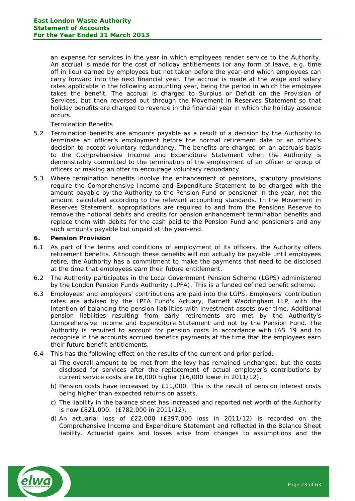an expense for services in the year in which employees render service to the Authority. An accrual is made for the cost of holiday entitlements (or any form of leave, e.g. time off in lieu) earned by employees but not taken before the year-end which employees can carry forward into the next financial year. The accrual is made at the wage and salary rates applicable in the following accounting year, being the period in which the employee takes the benefit. The accrual is charged to Surplus or Deficit on the Provision of Services, but then reversed out through the Movement in Reserves Statement so that holiday benefits are charged to revenue in the financial year in which the holiday absence occurs.

## Termination Benefits

- 5.2 Termination benefits are amounts payable as a result of a decision by the Authority to terminate an officer's employment before the normal retirement date or an officer's decision to accept voluntary redundancy. The benefits are charged on an accruals basis to the Comprehensive Income and Expenditure Statement when the Authority is demonstrably committed to the termination of the employment of an officer or group of officers or making an offer to encourage voluntary redundancy.
- 5.3 Where termination benefits involve the enhancement of pensions, statutory provisions require the Comprehensive Income and Expenditure Statement to be charged with the amount payable by the Authority to the Pension Fund or pensioner in the year, not the amount calculated according to the relevant accounting standards. In the Movement in Reserves Statement, appropriations are required to and from the Pensions Reserve to remove the notional debits and credits for pension enhancement termination benefits and replace them with debits for the cash paid to the Pension Fund and pensioners and any such amounts payable but unpaid at the year-end.

#### **6. Pension Provision**

- 6.1 As part of the terms and conditions of employment of its officers, the Authority offers retirement benefits. Although these benefits will not actually be payable until employees retire, the Authority has a commitment to make the payments that need to be disclosed at the time that employees earn their future entitlement.
- 6.2 The Authority participates in the Local Government Pension Scheme (LGPS) administered by the London Pension Funds Authority (LPFA). This is a funded defined benefit scheme.
- 6.3 Employees' and employers' contributions are paid into the LGPS. Employers' contribution rates are advised by the LPFA Fund's Actuary, Barnett Waddingham LLP, with the intention of balancing the pension liabilities with investment assets over time. Additional pension liabilities resulting from early retirements are met by the Authority's Comprehensive Income and Expenditure Statement and not by the Pension Fund. The Authority is required to account for pension costs in accordance with IAS 19 and to recognise in the accounts accrued benefits payments at the time that the employees earn their future benefit entitlements.
- 6.4 This has the following effect on the results of the current and prior period:
	- a) The overall amount to be met from the levy has remained unchanged, but the costs disclosed for services after the replacement of actual employer's contributions by current service costs are £6,000 higher (£6,000 lower in 2011/12).
	- b) Pension costs have increased by £11,000. This is the result of pension interest costs being higher than expected returns on assets.
	- c) The liability in the balance sheet has increased and reported net worth of the Authority is now £821,000. (£782,000 in 2011/12).
	- d) An actuarial loss of £22,000 (£397,000 loss in 2011/12) is recorded on the Comprehensive Income and Expenditure Statement and reflected in the Balance Sheet liability. Actuarial gains and losses arise from changes to assumptions and the

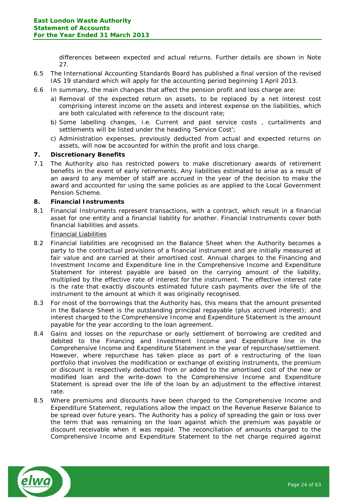differences between expected and actual returns. Further details are shown in Note 27.

- 6.5 The International Accounting Standards Board has published a final version of the revised IAS 19 standard which will apply for the accounting period beginning 1 April 2013.
- 6.6 In summary, the main changes that affect the pension profit and loss charge are:
	- a) Removal of the expected return on assets, to be replaced by a net interest cost comprising interest income on the assets and interest expense on the liabilities, which are both calculated with reference to the discount rate;
	- b) Some labelling changes, i.e. Current and past service costs , curtailments and settlements will be listed under the heading 'Service Cost';
	- c) Administration expenses, previously deducted from actual and expected returns on assets, will now be accounted for within the profit and loss charge.

## **7. Discretionary Benefits**

7.1 The Authority also has restricted powers to make discretionary awards of retirement benefits in the event of early retirements. Any liabilities estimated to arise as a result of an award to any member of staff are accrued in the year of the decision to make the award and accounted for using the same policies as are applied to the Local Government Pension Scheme.

# **8. Financial Instruments**

8.1 Financial Instruments represent transactions, with a contract, which result in a financial asset for one entity and a financial liability for another. Financial Instruments cover both financial liabilities and assets.

#### Financial Liabilities

- 8.2 Financial liabilities are recognised on the Balance Sheet when the Authority becomes a party to the contractual provisions of a financial instrument and are initially measured at fair value and are carried at their amortised cost. Annual charges to the Financing and Investment Income and Expenditure line in the Comprehensive Income and Expenditure Statement for interest payable are based on the carrying amount of the liability, multiplied by the effective rate of interest for the instrument. The effective interest rate is the rate that exactly discounts estimated future cash payments over the life of the instrument to the amount at which it was originally recognised.
- 8.3 For most of the borrowings that the Authority has, this means that the amount presented in the Balance Sheet is the outstanding principal repayable (plus accrued interest); and interest charged to the Comprehensive Income and Expenditure Statement is the amount payable for the year according to the loan agreement.
- 8.4 Gains and losses on the repurchase or early settlement of borrowing are credited and debited to the Financing and Investment Income and Expenditure line in the Comprehensive Income and Expenditure Statement in the year of repurchase/settlement. However, where repurchase has taken place as part of a restructuring of the loan portfolio that involves the modification or exchange of existing instruments, the premium or discount is respectively deducted from or added to the amortised cost of the new or modified loan and the write-down to the Comprehensive Income and Expenditure Statement is spread over the life of the loan by an adjustment to the effective interest rate.
- 8.5 Where premiums and discounts have been charged to the Comprehensive Income and Expenditure Statement, regulations allow the impact on the Revenue Reserve Balance to be spread over future years. The Authority has a policy of spreading the gain or loss over the term that was remaining on the loan against which the premium was payable or discount receivable when it was repaid. The reconciliation of amounts charged to the Comprehensive Income and Expenditure Statement to the net charge required against

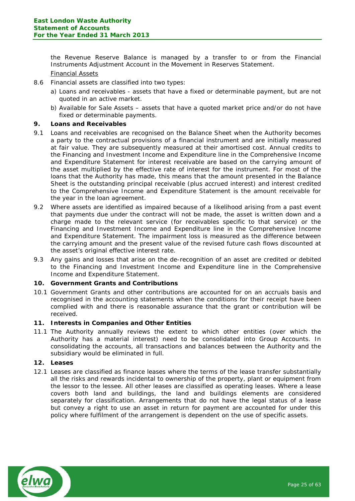the Revenue Reserve Balance is managed by a transfer to or from the Financial Instruments Adjustment Account in the Movement in Reserves Statement.

# Financial Assets

- 8.6 Financial assets are classified into two types:
	- a) Loans and receivables assets that have a fixed or determinable payment, but are not quoted in an active market.
	- b) Available for Sale Assets assets that have a quoted market price and/or do not have fixed or determinable payments.

# **9. Loans and Receivables**

- 9.1 Loans and receivables are recognised on the Balance Sheet when the Authority becomes a party to the contractual provisions of a financial instrument and are initially measured at fair value. They are subsequently measured at their amortised cost. Annual credits to the Financing and Investment Income and Expenditure line in the Comprehensive Income and Expenditure Statement for interest receivable are based on the carrying amount of the asset multiplied by the effective rate of interest for the instrument. For most of the loans that the Authority has made, this means that the amount presented in the Balance Sheet is the outstanding principal receivable (plus accrued interest) and interest credited to the Comprehensive Income and Expenditure Statement is the amount receivable for the year in the loan agreement.
- 9.2 Where assets are identified as impaired because of a likelihood arising from a past event that payments due under the contract will not be made, the asset is written down and a charge made to the relevant service (for receivables specific to that service) or the Financing and Investment Income and Expenditure line in the Comprehensive Income and Expenditure Statement. The impairment loss is measured as the difference between the carrying amount and the present value of the revised future cash flows discounted at the asset's original effective interest rate.
- 9.3 Any gains and losses that arise on the de-recognition of an asset are credited or debited to the Financing and Investment Income and Expenditure line in the Comprehensive Income and Expenditure Statement.

# **10. Government Grants and Contributions**

10.1 Government Grants and other contributions are accounted for on an accruals basis and recognised in the accounting statements when the conditions for their receipt have been complied with and there is reasonable assurance that the grant or contribution will be received.

## **11. Interests in Companies and Other Entities**

11.1 The Authority annually reviews the extent to which other entities (over which the Authority has a material interest) need to be consolidated into Group Accounts. In consolidating the accounts, all transactions and balances between the Authority and the subsidiary would be eliminated in full.

## **12. Leases**

12.1 Leases are classified as finance leases where the terms of the lease transfer substantially all the risks and rewards incidental to ownership of the property, plant or equipment from the lessor to the lessee. All other leases are classified as operating leases. Where a lease covers both land and buildings, the land and buildings elements are considered separately for classification. Arrangements that do not have the legal status of a lease but convey a right to use an asset in return for payment are accounted for under this policy where fulfilment of the arrangement is dependent on the use of specific assets.

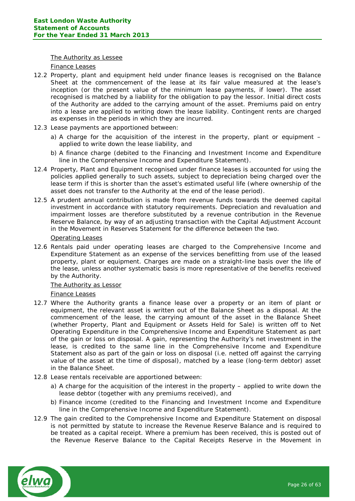#### The Authority as Lessee

#### Finance Leases

- 12.2 Property, plant and equipment held under finance leases is recognised on the Balance Sheet at the commencement of the lease at its fair value measured at the lease's inception (or the present value of the minimum lease payments, if lower). The asset recognised is matched by a liability for the obligation to pay the lessor. Initial direct costs of the Authority are added to the carrying amount of the asset. Premiums paid on entry into a lease are applied to writing down the lease liability. Contingent rents are charged as expenses in the periods in which they are incurred.
- 12.3 Lease payments are apportioned between:
	- a) A charge for the acquisition of the interest in the property, plant or equipment applied to write down the lease liability, and
	- b) A finance charge (debited to the Financing and Investment Income and Expenditure line in the Comprehensive Income and Expenditure Statement).
- 12.4 Property, Plant and Equipment recognised under finance leases is accounted for using the policies applied generally to such assets, subject to depreciation being charged over the lease term if this is shorter than the asset's estimated useful life (where ownership of the asset does not transfer to the Authority at the end of the lease period).
- 12.5 A prudent annual contribution is made from revenue funds towards the deemed capital investment in accordance with statutory requirements. Depreciation and revaluation and impairment losses are therefore substituted by a revenue contribution in the Revenue Reserve Balance, by way of an adjusting transaction with the Capital Adjustment Account in the Movement in Reserves Statement for the difference between the two.

# Operating Leases

12.6 Rentals paid under operating leases are charged to the Comprehensive Income and Expenditure Statement as an expense of the services benefitting from use of the leased property, plant or equipment. Charges are made on a straight-line basis over the life of the lease, unless another systematic basis is more representative of the benefits received by the Authority.

## The Authority as Lessor

## Finance Leases

- 12.7 Where the Authority grants a finance lease over a property or an item of plant or equipment, the relevant asset is written out of the Balance Sheet as a disposal. At the commencement of the lease, the carrying amount of the asset in the Balance Sheet (whether Property, Plant and Equipment or Assets Held for Sale) is written off to Net Operating Expenditure in the Comprehensive Income and Expenditure Statement as part of the gain or loss on disposal. A gain, representing the Authority's net investment in the lease, is credited to the same line in the Comprehensive Income and Expenditure Statement also as part of the gain or loss on disposal (i.e. netted off against the carrying value of the asset at the time of disposal), matched by a lease (long-term debtor) asset in the Balance Sheet.
- 12.8 Lease rentals receivable are apportioned between:
	- a) A charge for the acquisition of the interest in the property applied to write down the lease debtor (together with any premiums received), and
	- b) Finance income (credited to the Financing and Investment Income and Expenditure line in the Comprehensive Income and Expenditure Statement).
- 12.9 The gain credited to the Comprehensive Income and Expenditure Statement on disposal is not permitted by statute to increase the Revenue Reserve Balance and is required to be treated as a capital receipt. Where a premium has been received, this is posted out of the Revenue Reserve Balance to the Capital Receipts Reserve in the Movement in

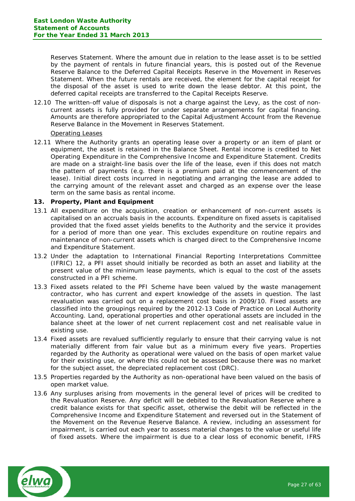Reserves Statement. Where the amount due in relation to the lease asset is to be settled by the payment of rentals in future financial years, this is posted out of the Revenue Reserve Balance to the Deferred Capital Receipts Reserve in the Movement in Reserves Statement. When the future rentals are received, the element for the capital receipt for the disposal of the asset is used to write down the lease debtor. At this point, the deferred capital receipts are transferred to the Capital Receipts Reserve.

12.10 The written-off value of disposals is not a charge against the Levy, as the cost of noncurrent assets is fully provided for under separate arrangements for capital financing. Amounts are therefore appropriated to the Capital Adjustment Account from the Revenue Reserve Balance in the Movement in Reserves Statement.

#### Operating Leases

12.11 Where the Authority grants an operating lease over a property or an item of plant or equipment, the asset is retained in the Balance Sheet. Rental income is credited to Net Operating Expenditure in the Comprehensive Income and Expenditure Statement. Credits are made on a straight-line basis over the life of the lease, even if this does not match the pattern of payments (e.g. there is a premium paid at the commencement of the lease). Initial direct costs incurred in negotiating and arranging the lease are added to the carrying amount of the relevant asset and charged as an expense over the lease term on the same basis as rental income.

## **13. Property, Plant and Equipment**

- 13.1 All expenditure on the acquisition, creation or enhancement of non-current assets is capitalised on an accruals basis in the accounts. Expenditure on fixed assets is capitalised provided that the fixed asset yields benefits to the Authority and the service it provides for a period of more than one year. This excludes expenditure on routine repairs and maintenance of non-current assets which is charged direct to the Comprehensive Income and Expenditure Statement.
- 13.2 Under the adaptation to International Financial Reporting Interpretations Committee (IFRIC) 12, a PFI asset should initially be recorded as both an asset and liability at the present value of the minimum lease payments, which is equal to the cost of the assets constructed in a PFI scheme.
- 13.3 Fixed assets related to the PFI Scheme have been valued by the waste management contractor, who has current and expert knowledge of the assets in question. The last revaluation was carried out on a replacement cost basis in 2009/10. Fixed assets are classified into the groupings required by the 2012-13 Code of Practice on Local Authority Accounting. Land, operational properties and other operational assets are included in the balance sheet at the lower of net current replacement cost and net realisable value in existing use.
- 13.4 Fixed assets are revalued sufficiently regularly to ensure that their carrying value is not materially different from fair value but as a minimum every five years. Properties regarded by the Authority as operational were valued on the basis of open market value for their existing use, or where this could not be assessed because there was no market for the subject asset, the depreciated replacement cost (DRC).
- 13.5 Properties regarded by the Authority as non-operational have been valued on the basis of open market value.
- 13.6 Any surpluses arising from movements in the general level of prices will be credited to the Revaluation Reserve. Any deficit will be debited to the Revaluation Reserve where a credit balance exists for that specific asset, otherwise the debit will be reflected in the Comprehensive Income and Expenditure Statement and reversed out in the Statement of the Movement on the Revenue Reserve Balance. A review, including an assessment for impairment, is carried out each year to assess material changes to the value or useful life of fixed assets. Where the impairment is due to a clear loss of economic benefit, IFRS

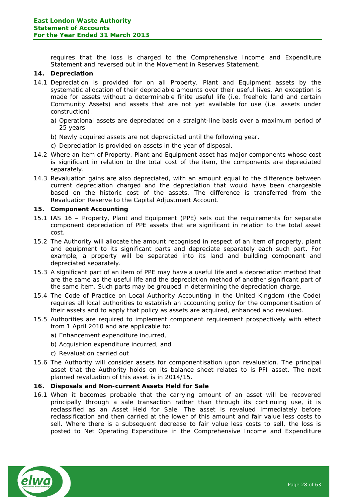requires that the loss is charged to the Comprehensive Income and Expenditure Statement and reversed out in the Movement in Reserves Statement.

# **14. Depreciation**

- 14.1 Depreciation is provided for on all Property, Plant and Equipment assets by the systematic allocation of their depreciable amounts over their useful lives. An exception is made for assets without a determinable finite useful life (i.e. freehold land and certain Community Assets) and assets that are not yet available for use (i.e. assets under construction).
	- a) Operational assets are depreciated on a straight-line basis over a maximum period of 25 years.
	- b) Newly acquired assets are not depreciated until the following year.
	- c) Depreciation is provided on assets in the year of disposal.
- 14.2 Where an item of Property, Plant and Equipment asset has major components whose cost is significant in relation to the total cost of the item, the components are depreciated separately.
- 14.3 Revaluation gains are also depreciated, with an amount equal to the difference between current depreciation charged and the depreciation that would have been chargeable based on the historic cost of the assets. The difference is transferred from the Revaluation Reserve to the Capital Adjustment Account.

#### **15. Component Accounting**

- 15.1 IAS 16 Property, Plant and Equipment (PPE) sets out the requirements for separate component depreciation of PPE assets that are significant in relation to the total asset cost.
- 15.2 The Authority will allocate the amount recognised in respect of an item of property, plant and equipment to its significant parts and depreciate separately each such part. For example, a property will be separated into its land and building component and depreciated separately.
- 15.3 A significant part of an item of PPE may have a useful life and a depreciation method that are the same as the useful life and the depreciation method of another significant part of the same item. Such parts may be grouped in determining the depreciation charge.
- 15.4 The Code of Practice on Local Authority Accounting in the United Kingdom (the Code) requires all local authorities to establish an accounting policy for the componentisation of their assets and to apply that policy as assets are acquired, enhanced and revalued.
- 15.5 Authorities are required to implement component requirement prospectively with effect from 1 April 2010 and are applicable to:
	- a) Enhancement expenditure incurred,
	- b) Acquisition expenditure incurred, and
	- c) Revaluation carried out
- 15.6 The Authority will consider assets for componentisation upon revaluation. The principal asset that the Authority holds on its balance sheet relates to is PFI asset. The next planned revaluation of this asset is in 2014/15.

#### **16. Disposals and Non-current Assets Held for Sale**

16.1 When it becomes probable that the carrying amount of an asset will be recovered principally through a sale transaction rather than through its continuing use, it is reclassified as an Asset Held for Sale. The asset is revalued immediately before reclassification and then carried at the lower of this amount and fair value less costs to sell. Where there is a subsequent decrease to fair value less costs to sell, the loss is posted to Net Operating Expenditure in the Comprehensive Income and Expenditure

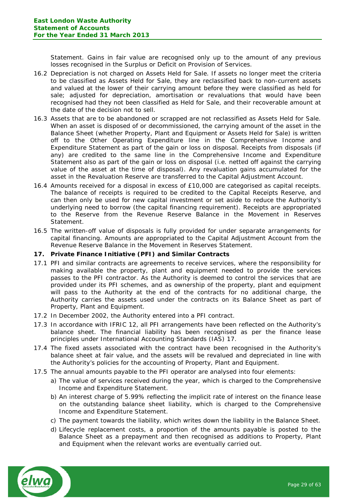Statement. Gains in fair value are recognised only up to the amount of any previous losses recognised in the Surplus or Deficit on Provision of Services.

- 16.2 Depreciation is not charged on Assets Held for Sale. If assets no longer meet the criteria to be classified as Assets Held for Sale, they are reclassified back to non-current assets and valued at the lower of their carrying amount before they were classified as held for sale: adiusted for depreciation, amortisation or revaluations that would have been recognised had they not been classified as Held for Sale, and their recoverable amount at the date of the decision not to sell.
- 16.3 Assets that are to be abandoned or scrapped are not reclassified as Assets Held for Sale. When an asset is disposed of or decommissioned, the carrying amount of the asset in the Balance Sheet (whether Property, Plant and Equipment or Assets Held for Sale) is written off to the Other Operating Expenditure line in the Comprehensive Income and Expenditure Statement as part of the gain or loss on disposal. Receipts from disposals (if any) are credited to the same line in the Comprehensive Income and Expenditure Statement also as part of the gain or loss on disposal (i.e. netted off against the carrying value of the asset at the time of disposal). Any revaluation gains accumulated for the asset in the Revaluation Reserve are transferred to the Capital Adjustment Account.
- 16.4 Amounts received for a disposal in excess of £10,000 are categorised as capital receipts. The balance of receipts is required to be credited to the Capital Receipts Reserve, and can then only be used for new capital investment or set aside to reduce the Authority's underlying need to borrow (the capital financing requirement). Receipts are appropriated to the Reserve from the Revenue Reserve Balance in the Movement in Reserves Statement.
- 16.5 The written-off value of disposals is fully provided for under separate arrangements for capital financing. Amounts are appropriated to the Capital Adjustment Account from the Revenue Reserve Balance in the Movement in Reserves Statement.

## **17. Private Finance Initiative (PFI) and Similar Contracts**

- 17.1 PFI and similar contracts are agreements to receive services, where the responsibility for making available the property, plant and equipment needed to provide the services passes to the PFI contractor. As the Authority is deemed to control the services that are provided under its PFI schemes, and as ownership of the property, plant and equipment will pass to the Authority at the end of the contracts for no additional charge, the Authority carries the assets used under the contracts on its Balance Sheet as part of Property, Plant and Equipment.
- 17.2 In December 2002, the Authority entered into a PFI contract.
- 17.3 In accordance with IFRIC 12, all PFI arrangements have been reflected on the Authority's balance sheet. The financial liability has been recognised as per the finance lease principles under International Accounting Standards (IAS) 17.
- 17.4 The fixed assets associated with the contract have been recognised in the Authority's balance sheet at fair value, and the assets will be revalued and depreciated in line with the Authority's policies for the accounting of Property, Plant and Equipment.
- 17.5 The annual amounts payable to the PFI operator are analysed into four elements:
	- a) The value of services received during the year, which is charged to the Comprehensive Income and Expenditure Statement.
	- b) An interest charge of 5.99% reflecting the implicit rate of interest on the finance lease on the outstanding balance sheet liability, which is charged to the Comprehensive Income and Expenditure Statement.
	- c) The payment towards the liability, which writes down the liability in the Balance Sheet.
	- d) Lifecycle replacement costs, a proportion of the amounts payable is posted to the Balance Sheet as a prepayment and then recognised as additions to Property, Plant and Equipment when the relevant works are eventually carried out.

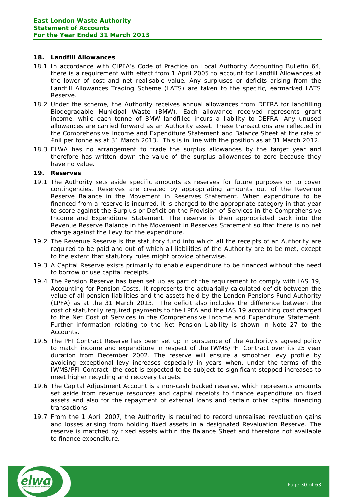# **18. Landfill Allowances**

- 18.1 In accordance with CIPFA's Code of Practice on Local Authority Accounting Bulletin 64, there is a requirement with effect from 1 April 2005 to account for Landfill Allowances at the lower of cost and net realisable value. Any surpluses or deficits arising from the Landfill Allowances Trading Scheme (LATS) are taken to the specific, earmarked LATS Reserve.
- 18.2 Under the scheme, the Authority receives annual allowances from DEFRA for landfilling Biodegradable Municipal Waste (BMW). Each allowance received represents grant income, while each tonne of BMW landfilled incurs a liability to DEFRA. Any unused allowances are carried forward as an Authority asset. These transactions are reflected in the Comprehensive Income and Expenditure Statement and Balance Sheet at the rate of £nil per tonne as at 31 March 2013. This is in line with the position as at 31 March 2012.
- 18.3 ELWA has no arrangement to trade the surplus allowances by the target year and therefore has written down the value of the surplus allowances to zero because they have no value.

## **19. Reserves**

- 19.1 The Authority sets aside specific amounts as reserves for future purposes or to cover contingencies. Reserves are created by appropriating amounts out of the Revenue Reserve Balance in the Movement in Reserves Statement. When expenditure to be financed from a reserve is incurred, it is charged to the appropriate category in that year to score against the Surplus or Deficit on the Provision of Services in the Comprehensive Income and Expenditure Statement. The reserve is then appropriated back into the Revenue Reserve Balance in the Movement in Reserves Statement so that there is no net charge against the Levy for the expenditure.
- 19.2 The Revenue Reserve is the statutory fund into which all the receipts of an Authority are required to be paid and out of which all liabilities of the Authority are to be met, except to the extent that statutory rules might provide otherwise.
- 19.3 A Capital Reserve exists primarily to enable expenditure to be financed without the need to borrow or use capital receipts.
- 19.4 The Pension Reserve has been set up as part of the requirement to comply with IAS 19, Accounting for Pension Costs. It represents the actuarially calculated deficit between the value of all pension liabilities and the assets held by the London Pensions Fund Authority (LPFA) as at the 31 March 2013. The deficit also includes the difference between the cost of statutorily required payments to the LPFA and the IAS 19 accounting cost charged to the Net Cost of Services in the Comprehensive Income and Expenditure Statement. Further information relating to the Net Pension Liability is shown in Note 27 to the Accounts.
- 19.5 The PFI Contract Reserve has been set up in pursuance of the Authority's agreed policy to match income and expenditure in respect of the IWMS/PFI Contract over its 25 year duration from December 2002. The reserve will ensure a smoother levy profile by avoiding exceptional levy increases especially in years when, under the terms of the IWMS/PFI Contract, the cost is expected to be subject to significant stepped increases to meet higher recycling and recovery targets.
- 19.6 The Capital Adjustment Account is a non-cash backed reserve, which represents amounts set aside from revenue resources and capital receipts to finance expenditure on fixed assets and also for the repayment of external loans and certain other capital financing transactions.
- 19.7 From the 1 April 2007, the Authority is required to record unrealised revaluation gains and losses arising from holding fixed assets in a designated Revaluation Reserve. The reserve is matched by fixed assets within the Balance Sheet and therefore not available to finance expenditure.

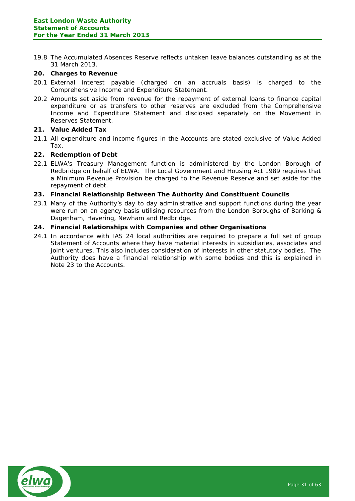19.8 The Accumulated Absences Reserve reflects untaken leave balances outstanding as at the 31 March 2013.

## **20. Charges to Revenue**

- 20.1 External interest payable (charged on an accruals basis) is charged to the Comprehensive Income and Expenditure Statement.
- 20.2 Amounts set aside from revenue for the repayment of external loans to finance capital expenditure or as transfers to other reserves are excluded from the Comprehensive Income and Expenditure Statement and disclosed separately on the Movement in Reserves Statement.

## **21. Value Added Tax**

21.1 All expenditure and income figures in the Accounts are stated exclusive of Value Added Tax.

#### **22. Redemption of Debt**

22.1 ELWA's Treasury Management function is administered by the London Borough of Redbridge on behalf of ELWA. The Local Government and Housing Act 1989 requires that a Minimum Revenue Provision be charged to the Revenue Reserve and set aside for the repayment of debt.

## **23. Financial Relationship Between The Authority And Constituent Councils**

23.1 Many of the Authority's day to day administrative and support functions during the year were run on an agency basis utilising resources from the London Boroughs of Barking & Dagenham, Havering, Newham and Redbridge.

#### **24. Financial Relationships with Companies and other Organisations**

24.1 In accordance with IAS 24 local authorities are required to prepare a full set of group Statement of Accounts where they have material interests in subsidiaries, associates and joint ventures. This also includes consideration of interests in other statutory bodies. The Authority does have a financial relationship with some bodies and this is explained in Note 23 to the Accounts.

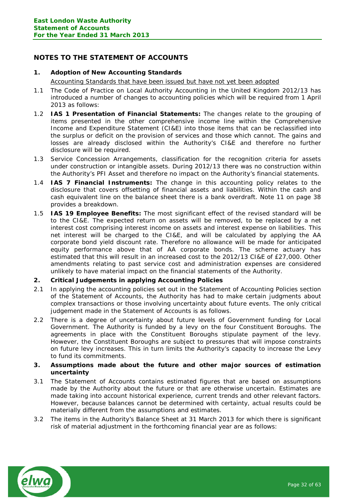# <span id="page-31-0"></span>**NOTES TO THE STATEMENT OF ACCOUNTS**

## **1. Adoption of New Accounting Standards**

Accounting Standards that have been issued but have not yet been adopted

- 1.1 The Code of Practice on Local Authority Accounting in the United Kingdom 2012/13 has introduced a number of changes to accounting policies which will be required from 1 April 2013 as follows:
- 1.2 **IAS 1 Presentation of Financial Statements:** The changes relate to the grouping of items presented in the other comprehensive income line within the Comprehensive Income and Expenditure Statement (CI&E) into those items that can be reclassified into the surplus or deficit on the provision of services and those which cannot. The gains and losses are already disclosed within the Authority's CI&E and therefore no further disclosure will be required.
- 1.3 Service Concession Arrangements, classification for the recognition criteria for assets under construction or intangible assets. During 2012/13 there was no construction within the Authority's PFI Asset and therefore no impact on the Authority's financial statements.
- 1.4 **IAS 7 Financial Instruments:** The change in this accounting policy relates to the disclosure that covers offsetting of financial assets and liabilities. Within the cash and cash equivalent line on the balance sheet there is a bank overdraft. Note 11 on page 38 provides a breakdown.
- 1.5 **IAS 19 Employee Benefits:** The most significant effect of the revised standard will be to the CI&E. The expected return on assets will be removed, to be replaced by a net interest cost comprising interest income on assets and interest expense on liabilities. This net interest will be charged to the CI&E, and will be calculated by applying the AA corporate bond yield discount rate. Therefore no allowance will be made for anticipated equity performance above that of AA corporate bonds. The scheme actuary has estimated that this will result in an increased cost to the 2012/13 CI&E of £27,000. Other amendments relating to past service cost and administration expenses are considered unlikely to have material impact on the financial statements of the Authority.
- **2. Critical Judgements in applying Accounting Policies**
- 2.1 In applying the accounting policies set out in the Statement of Accounting Policies section of the Statement of Accounts, the Authority has had to make certain judgments about complex transactions or those involving uncertainty about future events. The only critical judgement made in the Statement of Accounts is as follows.
- 2.2 There is a degree of uncertainty about future levels of Government funding for Local Government. The Authority is funded by a levy on the four Constituent Boroughs. The agreements in place with the Constituent Boroughs stipulate payment of the levy. However, the Constituent Boroughs are subject to pressures that will impose constraints on future levy increases. This in turn limits the Authority's capacity to increase the Levy to fund its commitments.
- **3. Assumptions made about the future and other major sources of estimation uncertainty**
- 3.1 The Statement of Accounts contains estimated figures that are based on assumptions made by the Authority about the future or that are otherwise uncertain. Estimates are made taking into account historical experience, current trends and other relevant factors. However, because balances cannot be determined with certainty, actual results could be materially different from the assumptions and estimates.
- 3.2 The items in the Authority's Balance Sheet at 31 March 2013 for which there is significant risk of material adjustment in the forthcoming financial year are as follows:

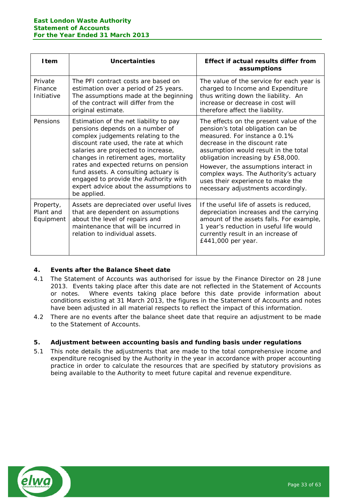| <b>I</b> tem                        | Uncertainties                                                                                                                                                                                                                                                                                                                                                                                                               | Effect if actual results differ from<br>assumptions                                                                                                                                                                                                                                                                                                                                     |
|-------------------------------------|-----------------------------------------------------------------------------------------------------------------------------------------------------------------------------------------------------------------------------------------------------------------------------------------------------------------------------------------------------------------------------------------------------------------------------|-----------------------------------------------------------------------------------------------------------------------------------------------------------------------------------------------------------------------------------------------------------------------------------------------------------------------------------------------------------------------------------------|
| Private<br>Finance<br>Initiative    | The PFI contract costs are based on<br>estimation over a period of 25 years.<br>The assumptions made at the beginning<br>of the contract will differ from the<br>original estimate.                                                                                                                                                                                                                                         | The value of the service for each year is<br>charged to Income and Expenditure<br>thus writing down the liability. An<br>increase or decrease in cost will<br>therefore affect the liability.                                                                                                                                                                                           |
| Pensions                            | Estimation of the net liability to pay<br>pensions depends on a number of<br>complex judgements relating to the<br>discount rate used, the rate at which<br>salaries are projected to increase,<br>changes in retirement ages, mortality<br>rates and expected returns on pension<br>fund assets. A consulting actuary is<br>engaged to provide the Authority with<br>expert advice about the assumptions to<br>be applied. | The effects on the present value of the<br>pension's total obligation can be<br>measured. For instance a 0.1%<br>decrease in the discount rate<br>assumption would result in the total<br>obligation increasing by £58,000.<br>However, the assumptions interact in<br>complex ways. The Authority's actuary<br>uses their experience to make the<br>necessary adjustments accordingly. |
| Property,<br>Plant and<br>Equipment | Assets are depreciated over useful lives<br>that are dependent on assumptions<br>about the level of repairs and<br>maintenance that will be incurred in<br>relation to individual assets.                                                                                                                                                                                                                                   | If the useful life of assets is reduced,<br>depreciation increases and the carrying<br>amount of the assets falls. For example,<br>1 year's reduction in useful life would<br>currently result in an increase of<br>£441,000 per year.                                                                                                                                                  |

# **4. Events after the Balance Sheet date**

- 4.1 The Statement of Accounts was authorised for issue by the Finance Director on 28 June 2013. Events taking place after this date are not reflected in the Statement of Accounts or notes. Where events taking place before this date provide information about conditions existing at 31 March 2013, the figures in the Statement of Accounts and notes have been adjusted in all material respects to reflect the impact of this information.
- 4.2 There are no events after the balance sheet date that require an adjustment to be made to the Statement of Accounts.

## **5. Adjustment between accounting basis and funding basis under regulations**

5.1 This note details the adjustments that are made to the total comprehensive income and expenditure recognised by the Authority in the year in accordance with proper accounting practice in order to calculate the resources that are specified by statutory provisions as being available to the Authority to meet future capital and revenue expenditure.

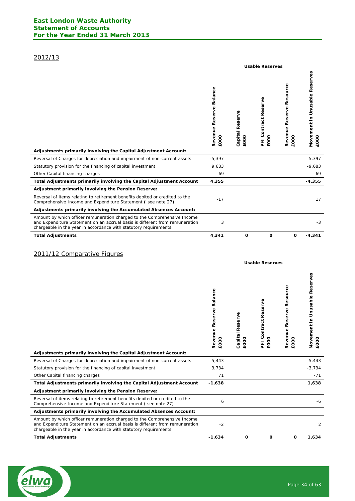# 2012/13

|                                                                                                                                                                                                                              | <b>Usable Reserves</b>             |                         |                                               |                                        |                                              |  |  |
|------------------------------------------------------------------------------------------------------------------------------------------------------------------------------------------------------------------------------|------------------------------------|-------------------------|-----------------------------------------------|----------------------------------------|----------------------------------------------|--|--|
|                                                                                                                                                                                                                              | Balance<br>Revenue Reserve<br>EOOO | Capital Reserve<br>£000 | eserve<br>ě<br>Contract<br>$\circ$<br>ē0<br>푼 | Resource<br>Reserve<br>Revenue<br>EOOO | Movement in Unusable Reserves<br><b>EOOO</b> |  |  |
| Adjustments primarily involving the Capital Adjustment Account:                                                                                                                                                              |                                    |                         |                                               |                                        |                                              |  |  |
| Reversal of Charges for depreciation and impairment of non-current assets                                                                                                                                                    | $-5,397$                           |                         |                                               |                                        | 5,397                                        |  |  |
| Statutory provision for the financing of capital investment                                                                                                                                                                  | 9,683                              |                         |                                               |                                        | $-9,683$                                     |  |  |
| Other Capital financing charges                                                                                                                                                                                              | 69                                 |                         |                                               |                                        | -69                                          |  |  |
| Total Adjustments primarily involving the Capital Adjustment Account                                                                                                                                                         | 4,355                              |                         |                                               |                                        | $-4,355$                                     |  |  |
| Adjustment primarily involving the Pension Reserve:                                                                                                                                                                          |                                    |                         |                                               |                                        |                                              |  |  |
| Reversal of items relating to retirement benefits debited or credited to the<br>Comprehensive Income and Expenditure Statement (see note 27)                                                                                 | $-17$                              |                         |                                               |                                        | 17                                           |  |  |
| Adjustments primarily involving the Accumulated Absences Account:                                                                                                                                                            |                                    |                         |                                               |                                        |                                              |  |  |
| Amount by which officer remuneration charged to the Comprehensive Income<br>and Expenditure Statement on an accrual basis is different from remuneration<br>chargeable in the year in accordance with statutory requirements | 3                                  |                         |                                               |                                        | $-3$                                         |  |  |
| <b>Total Adjustments</b>                                                                                                                                                                                                     | 4,341                              | $\mathbf 0$             | O                                             | 0                                      | $-4,341$                                     |  |  |

# 2011/12 Comparative Figures

|                                                                                                                                                                                                                              | <b>Usable Reserves</b>          |                         |                                  |                                           |                                       |
|------------------------------------------------------------------------------------------------------------------------------------------------------------------------------------------------------------------------------|---------------------------------|-------------------------|----------------------------------|-------------------------------------------|---------------------------------------|
|                                                                                                                                                                                                                              | Revenue Reserve Balance<br>£000 | Capital Reserve<br>£000 | Reserve<br>Contract<br>£000<br>E | source<br>Ř<br>Reserve<br>Revenue<br>£000 | Movement in Unusable Reserves<br>£000 |
| Adjustments primarily involving the Capital Adjustment Account:                                                                                                                                                              |                                 |                         |                                  |                                           |                                       |
| Reversal of Charges for depreciation and impairment of non-current assets                                                                                                                                                    | $-5,443$                        |                         |                                  |                                           | 5,443                                 |
| Statutory provision for the financing of capital investment                                                                                                                                                                  | 3,734                           |                         |                                  |                                           | $-3,734$                              |
| Other Capital financing charges                                                                                                                                                                                              | 71                              |                         |                                  |                                           | $-71$                                 |
| Total Adjustments primarily involving the Capital Adjustment Account                                                                                                                                                         | $-1,638$                        |                         |                                  |                                           | 1,638                                 |
| Adjustment primarily involving the Pension Reserve:                                                                                                                                                                          |                                 |                         |                                  |                                           |                                       |
| Reversal of items relating to retirement benefits debited or credited to the<br>Comprehensive Income and Expenditure Statement (see note 27)                                                                                 | 6                               |                         |                                  |                                           | -6                                    |
| Adjustments primarily involving the Accumulated Absences Account:                                                                                                                                                            |                                 |                         |                                  |                                           |                                       |
| Amount by which officer remuneration charged to the Comprehensive Income<br>and Expenditure Statement on an accrual basis is different from remuneration<br>chargeable in the year in accordance with statutory requirements | $-2$                            |                         |                                  |                                           | 2                                     |
| <b>Total Adjustments</b>                                                                                                                                                                                                     | $-1,634$                        | $\mathbf 0$             | $\mathbf 0$                      | 0                                         | 1,634                                 |

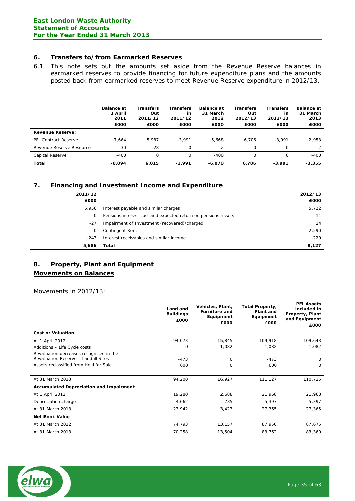## **6. Transfers to/from Earmarked Reserves**

6.1 This note sets out the amounts set aside from the Revenue Reserve balances in earmarked reserves to provide financing for future expenditure plans and the amounts posted back from earmarked reserves to meet Revenue Reserve expenditure in 2012/13.

|                             | <b>Balance at</b><br>1 April<br>2011<br>£000 | <b>Transfers</b><br>Out<br>2011/12<br>£000 | Transfers<br>in<br>2011/12<br>£000 | <b>Balance at</b><br>31 March<br>2012<br>£000 | <b>Transfers</b><br>Out<br>2012/13<br>£000 | <b>Transfers</b><br>in<br>2012/13<br>£000 | <b>Balance at</b><br>31 March<br>2013<br>£000 |
|-----------------------------|----------------------------------------------|--------------------------------------------|------------------------------------|-----------------------------------------------|--------------------------------------------|-------------------------------------------|-----------------------------------------------|
| <b>Revenue Reserve:</b>     |                                              |                                            |                                    |                                               |                                            |                                           |                                               |
| <b>PFI Contract Reserve</b> | $-7.664$                                     | 5.987                                      | $-3.991$                           | $-5.668$                                      | 6.706                                      | $-3.991$                                  | $-2,953$                                      |
| Revenue Reserve Resource    | $-30$                                        | 28                                         | 0                                  | $-2$                                          | 0                                          | $\Omega$                                  | $-2$                                          |
| Capital Reserve             | $-400$                                       | 0                                          | 0                                  | $-400$                                        | 0                                          | Ω                                         | $-400$                                        |
| Total                       | $-8.094$                                     | 6.015                                      | $-3.991$                           | -6.070                                        | 6.706                                      | $-3.991$                                  | $-3.355$                                      |

## **7. Financing and Investment Income and Expenditure**

| 2011/12<br>£000 |                                                               | 2012/13<br>£000 |
|-----------------|---------------------------------------------------------------|-----------------|
| 5,956           | Interest payable and similar charges                          | 5,722           |
| 0               | Pensions interest cost and expected return on pensions assets | 11              |
| -27             | Impairment of Investment (recovered)/charged                  | 24              |
| 0               | Contingent Rent                                               | 2,590           |
| $-243$          | Interest receivables and similar income                       | $-220$          |
| 5,686           | Total                                                         | 8,127           |

# **8. Property, Plant and Equipment**

# **Movements on Balances**

Movements in 2012/13:

|                                                | Land and<br><b>Buildings</b><br>£000 | Vehicles, Plant,<br><b>Furniture and</b><br>Equipment<br>£000 | <b>Total Property,</b><br>Plant and<br>Equipment<br>£000 | <b>PFI Assets</b><br>included in<br>Property, Plant<br>and Equipment<br>£000 |
|------------------------------------------------|--------------------------------------|---------------------------------------------------------------|----------------------------------------------------------|------------------------------------------------------------------------------|
| <b>Cost or Valuation</b>                       |                                      |                                                               |                                                          |                                                                              |
| At 1 April 2012                                | 94,073                               | 15,845                                                        | 109,918                                                  | 109,643                                                                      |
| Additions - Life Cycle costs                   | 0                                    | 1,082                                                         | 1,082                                                    | 1,082                                                                        |
| Revaluation decreases recognised in the        |                                      |                                                               |                                                          |                                                                              |
| Revaluation Reserve - Landfill Sites           | $-473$                               | 0                                                             | $-473$                                                   | $\Omega$                                                                     |
| Assets reclassified from Held for Sale         | 600                                  | 0                                                             | 600                                                      | 0                                                                            |
|                                                |                                      |                                                               |                                                          |                                                                              |
| At 31 March 2013                               | 94,200                               | 16,927                                                        | 111,127                                                  | 110,725                                                                      |
| <b>Accumulated Depreciation and Impairment</b> |                                      |                                                               |                                                          |                                                                              |
| At 1 April 2012                                | 19,280                               | 2,688                                                         | 21,968                                                   | 21,968                                                                       |
| Depreciation charge                            | 4,662                                | 735                                                           | 5,397                                                    | 5,397                                                                        |
| At 31 March 2013                               | 23,942                               | 3,423                                                         | 27,365                                                   | 27,365                                                                       |
| <b>Net Book Value</b>                          |                                      |                                                               |                                                          |                                                                              |
| At 31 March 2012                               | 74,793                               | 13,157                                                        | 87,950                                                   | 87,675                                                                       |
| At 31 March 2013                               | 70,258                               | 13,504                                                        | 83,762                                                   | 83,360                                                                       |

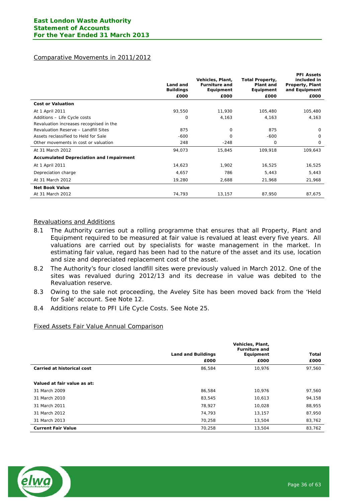# Comparative Movements in 2011/2012

|                                                | Land and<br><b>Buildings</b> | Vehicles, Plant,<br><b>Furniture and</b><br>Equipment | Total Property,<br>Plant and<br>Equipment | <b>PFI Assets</b><br>included in<br>Property, Plant<br>and Equipment |
|------------------------------------------------|------------------------------|-------------------------------------------------------|-------------------------------------------|----------------------------------------------------------------------|
|                                                | £000                         | £000                                                  | £000                                      | £000                                                                 |
| <b>Cost or Valuation</b>                       |                              |                                                       |                                           |                                                                      |
| At 1 April 2011                                | 93,550                       | 11,930                                                | 105,480                                   | 105,480                                                              |
| Additions - Life Cycle costs                   | 0                            | 4,163                                                 | 4,163                                     | 4,163                                                                |
| Revaluation increases recognised in the        |                              |                                                       |                                           |                                                                      |
| Revaluation Reserve - Landfill Sites           | 875                          | $\Omega$                                              | 875                                       | $\Omega$                                                             |
| Assets reclassified to Held for Sale           | $-600$                       | $\Omega$                                              | $-600$                                    | $\Omega$                                                             |
| Other movements in cost or valuation           | 248                          | $-248$                                                | 0                                         | 0                                                                    |
| At 31 March 2012                               | 94,073                       | 15,845                                                | 109,918                                   | 109,643                                                              |
| <b>Accumulated Depreciation and Impairment</b> |                              |                                                       |                                           |                                                                      |
| At 1 April 2011                                | 14,623                       | 1,902                                                 | 16,525                                    | 16,525                                                               |
| Depreciation charge                            | 4,657                        | 786                                                   | 5,443                                     | 5,443                                                                |
| At 31 March 2012                               | 19,280                       | 2,688                                                 | 21,968                                    | 21,968                                                               |
| <b>Net Book Value</b>                          |                              |                                                       |                                           |                                                                      |
| At 31 March 2012                               | 74,793                       | 13,157                                                | 87,950                                    | 87,675                                                               |

#### Revaluations and Additions

- 8.1 The Authority carries out a rolling programme that ensures that all Property, Plant and Equipment required to be measured at fair value is revalued at least every five years. All valuations are carried out by specialists for waste management in the market. In estimating fair value, regard has been had to the nature of the asset and its use, location and size and depreciated replacement cost of the asset.
- 8.2 The Authority's four closed landfill sites were previously valued in March 2012. One of the sites was revalued during 2012/13 and its decrease in value was debited to the Revaluation reserve.
- 8.3 Owing to the sale not proceeding, the Aveley Site has been moved back from the 'Held for Sale' account. See Note 12.
- 8.4 Additions relate to PFI Life Cycle Costs. See Note 25.

## Fixed Assets Fair Value Annual Comparison

|                                   |                           | Vehicles, Plant,<br><b>Furniture and</b> |              |
|-----------------------------------|---------------------------|------------------------------------------|--------------|
|                                   | <b>Land and Buildings</b> | Equipment                                | <b>Total</b> |
|                                   | £000                      | £000                                     | £000         |
| <b>Carried at historical cost</b> | 86,584                    | 10,976                                   | 97,560       |
|                                   |                           |                                          |              |
| Valued at fair value as at:       |                           |                                          |              |
| 31 March 2009                     | 86.584                    | 10,976                                   | 97,560       |
| 31 March 2010                     | 83.545                    | 10.613                                   | 94,158       |
| 31 March 2011                     | 78.927                    | 10,028                                   | 88,955       |
| 31 March 2012                     | 74.793                    | 13,157                                   | 87,950       |
| 31 March 2013                     | 70,258                    | 13,504                                   | 83,762       |
| <b>Current Fair Value</b>         | 70,258                    | 13,504                                   | 83,762       |

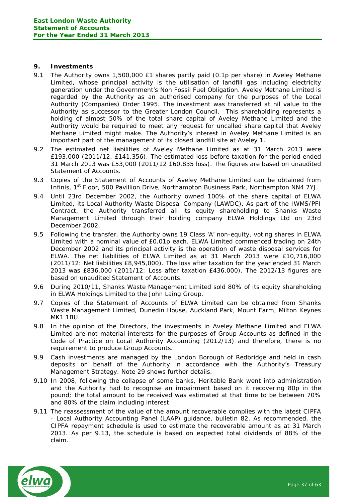#### **9. Investments**

- 9.1 The Authority owns 1,500,000 £1 shares partly paid (0.1p per share) in Aveley Methane Limited, whose principal activity is the utilisation of landfill gas including electricity generation under the Government's Non Fossil Fuel Obligation. Aveley Methane Limited is regarded by the Authority as an authorised company for the purposes of the Local Authority (Companies) Order 1995. The investment was transferred at nil value to the Authority as successor to the Greater London Council. This shareholding represents a holding of almost 50% of the total share capital of Aveley Methane Limited and the Authority would be required to meet any request for uncalled share capital that Aveley Methane Limited might make. The Authority's interest in Aveley Methane Limited is an important part of the management of its closed landfill site at Aveley 1.
- 9.2 The estimated net liabilities of Aveley Methane Limited as at 31 March 2013 were £193,000 (2011/12, £141,356). The estimated loss before taxation for the period ended 31 March 2013 was £53,000 (2011/12 £60,835 loss). The figures are based on unaudited Statement of Accounts.
- 9.3 Copies of the Statement of Accounts of Aveley Methane Limited can be obtained from Infinis, 1<sup>st</sup> Floor, 500 Pavillion Drive, Northampton Business Park, Northampton NN4 7YJ.
- 9.4 Until 23rd December 2002, the Authority owned 100% of the share capital of ELWA Limited, its Local Authority Waste Disposal Company (LAWDC). As part of the IWMS/PFI Contract, the Authority transferred all its equity shareholding to Shanks Waste Management Limited through their holding company ELWA Holdings Ltd on 23rd December 2002.
- 9.5 Following the transfer, the Authority owns 19 Class 'A' non-equity, voting shares in ELWA Limited with a nominal value of £0.01p each. ELWA Limited commenced trading on 24th December 2002 and its principal activity is the operation of waste disposal services for ELWA. The net liabilities of ELWA Limited as at 31 March 2013 were £10,716,000 (2011/12: Net liabilities £8,945,000). The loss after taxation for the year ended 31 March 2013 was £836,000 (2011/12: Loss after taxation £436,000). The 2012/13 figures are based on unaudited Statement of Accounts.
- 9.6 During 2010/11, Shanks Waste Management Limited sold 80% of its equity shareholding in ELWA Holdings Limited to the John Laing Group.
- 9.7 Copies of the Statement of Accounts of ELWA Limited can be obtained from Shanks Waste Management Limited, Dunedin House, Auckland Park, Mount Farm, Milton Keynes MK1 1BU.
- 9.8 In the opinion of the Directors, the investments in Aveley Methane Limited and ELWA Limited are not material interests for the purposes of Group Accounts as defined in the Code of Practice on Local Authority Accounting (2012/13) and therefore, there is no requirement to produce Group Accounts.
- 9.9 Cash investments are managed by the London Borough of Redbridge and held in cash deposits on behalf of the Authority in accordance with the Authority's Treasury Management Strategy. Note 29 shows further details.
- 9.10 In 2008, following the collapse of some banks, Heritable Bank went into administration and the Authority had to recognise an impairment based on it recovering 80p in the pound; the total amount to be received was estimated at that time to be between 70% and 80% of the claim including interest.
- 9.11 The reassessment of the value of the amount recoverable complies with the latest CIPFA - Local Authority Accounting Panel (LAAP) guidance, bulletin 82. As recommended, the CIPFA repayment schedule is used to estimate the recoverable amount as at 31 March 2013. As per 9.13, the schedule is based on expected total dividends of 88% of the claim.

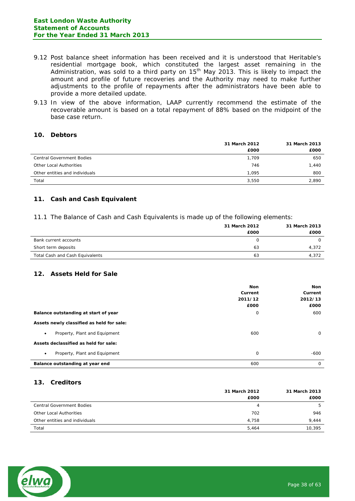- 9.12 Post balance sheet information has been received and it is understood that Heritable's residential mortgage book, which constituted the largest asset remaining in the Administration, was sold to a third party on  $15<sup>th</sup>$  May 2013. This is likely to impact the amount and profile of future recoveries and the Authority may need to make further adjustments to the profile of repayments after the administrators have been able to provide a more detailed update.
- 9.13 In view of the above information, LAAP currently recommend the estimate of the recoverable amount is based on a total repayment of 88% based on the midpoint of the base case return.

## **10. Debtors**

|                                  | 31 March 2012 |       |
|----------------------------------|---------------|-------|
|                                  | £000          | £000  |
| <b>Central Government Bodies</b> | 1,709         | 650   |
| Other Local Authorities          | 746           | 1.440 |
| Other entities and individuals   | 1.095         | 800   |
| Total                            | 3,550         | 2,890 |

# **11. Cash and Cash Equivalent**

11.1 The Balance of Cash and Cash Equivalents is made up of the following elements:

|                                 | 31 March 2012 | 31 March 2013 |
|---------------------------------|---------------|---------------|
|                                 | £000          | £000          |
| Bank current accounts           |               | $\Omega$      |
| Short term deposits             | 63            | 4,372         |
| Total Cash and Cash Equivalents | 63            | 4,372         |

## **12. Assets Held for Sale**

|                                            | <b>Non</b><br>Current<br>2011/12<br>£000 | Non<br>Current<br>2012/13<br>£000 |
|--------------------------------------------|------------------------------------------|-----------------------------------|
| Balance outstanding at start of year       | 0                                        | 600                               |
| Assets newly classified as held for sale:  |                                          |                                   |
| Property, Plant and Equipment<br>$\bullet$ | 600                                      | $\Omega$                          |
| Assets declassified as held for sale:      |                                          |                                   |
| Property, Plant and Equipment<br>$\bullet$ | $\mathbf 0$                              | $-600$                            |
| Balance outstanding at year end            | 600                                      | $\mathbf 0$                       |

# **13. Creditors**

|                                  | 31 March 2012 | 31 March 2013 |
|----------------------------------|---------------|---------------|
|                                  | £000          | £000          |
| <b>Central Government Bodies</b> | 4             | 5             |
| Other Local Authorities          | 702           | 946           |
| Other entities and individuals   | 4.758         | 9.444         |
| Total                            | 5.464         | 10,395        |
|                                  |               |               |

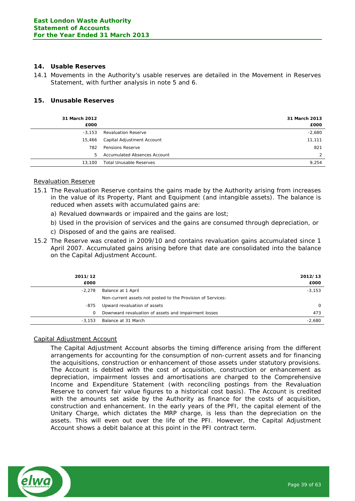## **14. Usable Reserves**

14.1 Movements in the Authority's usable reserves are detailed in the Movement in Reserves Statement, with further analysis in note 5 and 6.

# **15. Unusable Reserves**

| 31 March 2012<br>£000 |                              | 31 March 2013<br>£000 |
|-----------------------|------------------------------|-----------------------|
| $-3.153$              | <b>Revaluation Reserve</b>   | $-2,680$              |
| 15,466                | Capital Adjustment Account   | 11,111                |
| 782                   | Pensions Reserve             | 821                   |
| 5                     | Accumulated Absences Account | 2                     |
| 13,100                | Total Unusable Reserves      | 9,254                 |
|                       |                              |                       |

#### Revaluation Reserve

- 15.1 The Revaluation Reserve contains the gains made by the Authority arising from increases in the value of its Property, Plant and Equipment (and intangible assets). The balance is reduced when assets with accumulated gains are:
	- a) Revalued downwards or impaired and the gains are lost;
	- b) Used in the provision of services and the gains are consumed through depreciation, or
	- c) Disposed of and the gains are realised.
- 15.2 The Reserve was created in 2009/10 and contains revaluation gains accumulated since 1 April 2007. Accumulated gains arising before that date are consolidated into the balance on the Capital Adjustment Account.

| 2011/12<br>£000 |                                                             | 2012/13<br>£000 |
|-----------------|-------------------------------------------------------------|-----------------|
| $-2,278$        | Balance at 1 April                                          | $-3,153$        |
|                 | Non-current assets not posted to the Provision of Services: |                 |
| -875            | Upward revaluation of assets                                | $\Omega$        |
| 0               | Downward revaluation of assets and impairment losses        | 473             |
| $-3.153$        | Balance at 31 March                                         | $-2.680$        |

## Capital Adjustment Account

The Capital Adjustment Account absorbs the timing difference arising from the different arrangements for accounting for the consumption of non-current assets and for financing the acquisitions, construction or enhancement of those assets under statutory provisions. The Account is debited with the cost of acquisition, construction or enhancement as depreciation, impairment losses and amortisations are charged to the Comprehensive Income and Expenditure Statement (with reconciling postings from the Revaluation Reserve to convert fair value figures to a historical cost basis). The Account is credited with the amounts set aside by the Authority as finance for the costs of acquisition, construction and enhancement. In the early years of the PFI, the capital element of the Unitary Charge, which dictates the MRP charge, is less than the depreciation on the assets. This will even out over the life of the PFI. However, the Capital Adjustment Account shows a debit balance at this point in the PFI contract term.

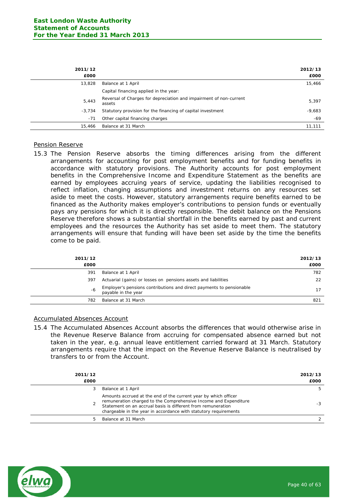| 2011/12<br>£000 |                                                                              | 2012/13<br>£000 |
|-----------------|------------------------------------------------------------------------------|-----------------|
| 13,828          | Balance at 1 April                                                           | 15,466          |
|                 | Capital financing applied in the year:                                       |                 |
| 5,443           | Reversal of Charges for depreciation and impairment of non-current<br>assets | 5,397           |
| $-3.734$        | Statutory provision for the financing of capital investment                  | $-9,683$        |
| $-71$           | Other capital financing charges                                              | $-69$           |
| 15,466          | Balance at 31 March                                                          | 11,111          |

#### Pension Reserve

15.3 The Pension Reserve absorbs the timing differences arising from the different arrangements for accounting for post employment benefits and for funding benefits in accordance with statutory provisions. The Authority accounts for post employment benefits in the Comprehensive Income and Expenditure Statement as the benefits are earned by employees accruing years of service, updating the liabilities recognised to reflect inflation, changing assumptions and investment returns on any resources set aside to meet the costs. However, statutory arrangements require benefits earned to be financed as the Authority makes employer's contributions to pension funds or eventually pays any pensions for which it is directly responsible. The debit balance on the Pensions Reserve therefore shows a substantial shortfall in the benefits earned by past and current employees and the resources the Authority has set aside to meet them. The statutory arrangements will ensure that funding will have been set aside by the time the benefits come to be paid.

| 2011/12<br>£000 |                                                                                             | 2012/13<br>£000 |
|-----------------|---------------------------------------------------------------------------------------------|-----------------|
| 391             | Balance at 1 April                                                                          | 782             |
| 397             | Actuarial (gains) or losses on pensions assets and liabilities                              | 22              |
| -6              | Employer's pensions contributions and direct payments to pensionable<br>payable in the year |                 |
| 782             | Balance at 31 March                                                                         | 821             |

#### Accumulated Absences Account

15.4 The Accumulated Absences Account absorbs the differences that would otherwise arise in the Revenue Reserve Balance from accruing for compensated absence earned but not taken in the year, e.g. annual leave entitlement carried forward at 31 March. Statutory arrangements require that the impact on the Revenue Reserve Balance is neutralised by transfers to or from the Account.

| 2011/12<br>£000 |                                                                                                                                                                                                                                                                         | 2012/13<br>£000 |
|-----------------|-------------------------------------------------------------------------------------------------------------------------------------------------------------------------------------------------------------------------------------------------------------------------|-----------------|
| 3               | Balance at 1 April                                                                                                                                                                                                                                                      | 5.              |
|                 | Amounts accrued at the end of the current year by which officer<br>remuneration charged to the Comprehensive Income and Expenditure<br>Statement on an accrual basis is different from remuneration<br>chargeable in the year in accordance with statutory requirements | -3              |
| 5               | Balance at 31 March                                                                                                                                                                                                                                                     |                 |
|                 |                                                                                                                                                                                                                                                                         |                 |

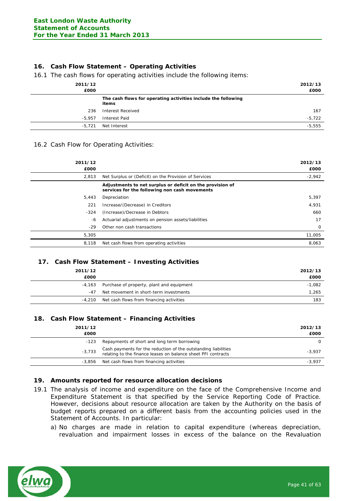# **16. Cash Flow Statement – Operating Activities**

16.1 The cash flows for operating activities include the following items:

| 2011/12<br>£000 |                                                                        | 2012/13<br>£000 |
|-----------------|------------------------------------------------------------------------|-----------------|
|                 | The cash flows for operating activities include the following<br>items |                 |
| 236             | Interest Received                                                      | 167             |
| $-5.957$        | Interest Paid                                                          | $-5,722$        |
| $-5.721$        | Net Interest                                                           | $-5,555$        |

#### 16.2 Cash Flow for Operating Activities:

| 2011/12<br>£000 |                                                                                                            | 2012/13<br>£000 |
|-----------------|------------------------------------------------------------------------------------------------------------|-----------------|
| 2.813           | Net Surplus or (Deficit) on the Provision of Services                                                      | $-2,942$        |
|                 | Adjustments to net surplus or deficit on the provision of<br>services for the following non cash movements |                 |
| 5,443           | Depreciation                                                                                               | 5,397           |
| 221             | Increase/(Decrease) in Creditors                                                                           | 4,931           |
| $-324$          | (Increase)/Decrease in Debtors                                                                             | 660             |
| -6              | Actuarial adjustments on pension assets/liabilities                                                        | 17              |
| $-29$           | Other non cash transactions                                                                                | 0               |
| 5,305           |                                                                                                            | 11,005          |
| 8,118           | Net cash flows from operating activities                                                                   | 8,063           |

## **17. Cash Flow Statement – Investing Activities**

| 2011/12 |                                           | 2012/13  |
|---------|-------------------------------------------|----------|
| £000    |                                           | £000     |
| -4,163  | Purchase of property, plant and equipment | $-1,082$ |
| -47     | Net movement in short-term investments    | 1,265    |
| -4,210  | Net cash flows from financing activities  | 183      |

## **18. Cash Flow Statement – Financing Activities**

| 2011/12<br>£000 |                                                                                                                                 | 2012/13<br>£000 |
|-----------------|---------------------------------------------------------------------------------------------------------------------------------|-----------------|
| -123            | Repayments of short and long term borrowing                                                                                     | $\Omega$        |
| $-3,733$        | Cash payments for the reduction of the outstanding liabilities<br>relating to the finance leases on balance sheet PFI contracts | $-3,937$        |
| -3.856          | Net cash flows from financing activities                                                                                        | $-3,937$        |

## **19. Amounts reported for resource allocation decisions**

- 19.1 The analysis of income and expenditure on the face of the Comprehensive Income and Expenditure Statement is that specified by the Service Reporting Code of Practice. However, decisions about resource allocation are taken by the Authority on the basis of budget reports prepared on a different basis from the accounting policies used in the Statement of Accounts. In particular:
	- a) No charges are made in relation to capital expenditure (whereas depreciation, revaluation and impairment losses in excess of the balance on the Revaluation

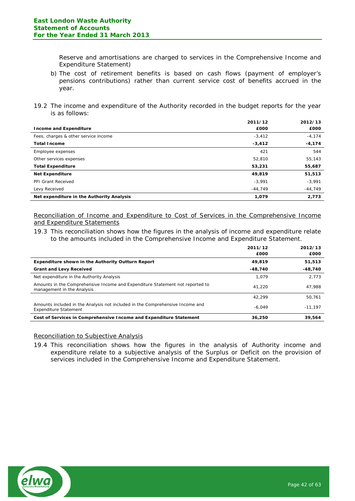Reserve and amortisations are charged to services in the Comprehensive Income and Expenditure Statement)

- b) The cost of retirement benefits is based on cash flows (payment of employer's pensions contributions) rather than current service cost of benefits accrued in the year.
- 19.2 The income and expenditure of the Authority recorded in the budget reports for the year is as follows:

|                                           | 2011/12   | 2012/13   |
|-------------------------------------------|-----------|-----------|
| <b>Income and Expenditure</b>             | £000      | £000      |
| Fees, charges & other service income      | $-3,412$  | $-4,174$  |
| <b>Total Income</b>                       | $-3,412$  | $-4,174$  |
| Employee expenses                         | 421       | 544       |
| Other services expenses                   | 52,810    | 55,143    |
| <b>Total Expenditure</b>                  | 53,231    | 55,687    |
| <b>Net Expenditure</b>                    | 49,819    | 51,513    |
| <b>PFI Grant Received</b>                 | $-3,991$  | $-3,991$  |
| Levy Received                             | $-44.749$ | $-44,749$ |
| Net expenditure in the Authority Analysis | 1.079     | 2,773     |

Reconciliation of Income and Expenditure to Cost of Services in the Comprehensive Income and Expenditure Statements

19.3 This reconciliation shows how the figures in the analysis of income and expenditure relate to the amounts included in the Comprehensive Income and Expenditure Statement.

|                                                                                                               | 2011/12<br>£000 | 2012/13<br>£000 |
|---------------------------------------------------------------------------------------------------------------|-----------------|-----------------|
| Expenditure shown in the Authority Outturn Report                                                             | 49,819          | 51,513          |
| <b>Grant and Levy Received</b>                                                                                | $-48.740$       | $-48,740$       |
| Net expenditure in the Authority Analysis                                                                     | 1.079           | 2.773           |
| Amounts in the Comprehensive Income and Expenditure Statement not reported to<br>management in the Analysis   | 41.220          | 47.988          |
|                                                                                                               | 42.299          | 50,761          |
| Amounts included in the Analysis not included in the Comprehensive Income and<br><b>Expenditure Statement</b> | $-6.049$        | $-11.197$       |
| Cost of Services in Comprehensive Income and Expenditure Statement                                            | 36,250          | 39,564          |

# Reconciliation to Subjective Analysis

19.4 This reconciliation shows how the figures in the analysis of Authority income and expenditure relate to a subjective analysis of the Surplus or Deficit on the provision of services included in the Comprehensive Income and Expenditure Statement.

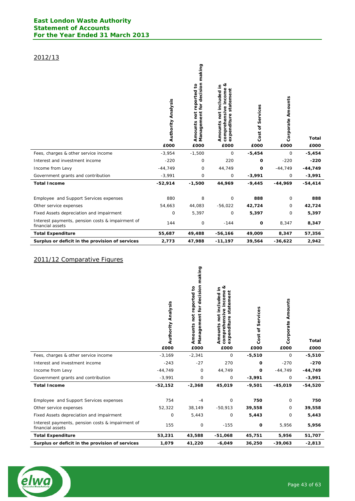# 2012/13

|                                                                      | <b>Authority Analysis</b><br>£000 | making<br>Management for decision<br>reported to<br>Amounts not<br>£000 | જ<br>Amounts not included in<br>comprehensive income<br>statement<br>expenditure<br>£000 | Services<br>Cost of<br>£000 | Corporate Amounts<br>£000 | <b>Total</b><br>£000 |
|----------------------------------------------------------------------|-----------------------------------|-------------------------------------------------------------------------|------------------------------------------------------------------------------------------|-----------------------------|---------------------------|----------------------|
| Fees, charges & other service income                                 | $-3,954$                          | $-1,500$                                                                | 0                                                                                        | $-5,454$                    | 0                         | $-5,454$             |
| Interest and investment income                                       | $-220$                            | 0                                                                       | 220                                                                                      | 0                           | $-220$                    | $-220$               |
| Income from Levy                                                     | $-44,749$                         | 0                                                                       | 44,749                                                                                   | O                           | $-44,749$                 | $-44,749$            |
| Government grants and contribution                                   | $-3,991$                          | 0                                                                       | 0                                                                                        | $-3,991$                    | 0                         | $-3,991$             |
| <b>Total Income</b>                                                  | $-52,914$                         | $-1,500$                                                                | 44,969                                                                                   | $-9,445$                    | $-44,969$                 | $-54,414$            |
| Employee and Support Services expenses                               | 880                               | 8                                                                       | 0                                                                                        | 888                         | 0                         | 888                  |
| Other service expenses                                               | 54,663                            | 44,083                                                                  | $-56,022$                                                                                | 42,724                      | 0                         | 42,724               |
| Fixed Assets depreciation and impairment                             | 0                                 | 5,397                                                                   | 0                                                                                        | 5,397                       | 0                         | 5,397                |
| Interest payments, pension costs & impairment of<br>financial assets | 144                               | 0                                                                       | $-144$                                                                                   | $\mathbf{o}$                | 8,347                     | 8,347                |
| <b>Total Expenditure</b>                                             | 55,687                            | 49,488                                                                  | $-56,166$                                                                                | 49,009                      | 8,347                     | 57,356               |
| Surplus or deficit in the provision of services                      | 2,773                             | 47.988                                                                  | $-11,197$                                                                                | 39,564                      | $-36,622$                 | 2,942                |

# 2011/12 Comparative Figures

|                                                                      | <b>Authority Analysis</b><br>£000 | making<br>Management for decision<br>Amounts not reported to<br>£000 | త<br>Amounts not included in<br>comprehensive income<br>statement<br>expenditure<br>£000 | Cost of Services<br>£000 | Corporate Amounts<br>£000 | <b>Total</b><br>£000 |
|----------------------------------------------------------------------|-----------------------------------|----------------------------------------------------------------------|------------------------------------------------------------------------------------------|--------------------------|---------------------------|----------------------|
| Fees, charges & other service income                                 | $-3,169$                          | $-2,341$                                                             | $\mathbf 0$                                                                              | $-5,510$                 | $\circ$                   | $-5,510$             |
| Interest and investment income                                       | $-243$                            | $-27$                                                                | 270                                                                                      | 0                        | $-270$                    | $-270$               |
| Income from Levy                                                     | $-44,749$                         | 0                                                                    | 44,749                                                                                   | 0                        | $-44,749$                 | $-44,749$            |
| Government grants and contribution                                   | $-3,991$                          | 0                                                                    | 0                                                                                        | $-3,991$                 | 0                         | $-3,991$             |
| <b>Total Income</b>                                                  | $-52,152$                         | $-2,368$                                                             | 45,019                                                                                   | $-9,501$                 | $-45,019$                 | $-54,520$            |
| Employee and Support Services expenses                               | 754                               | $-4$                                                                 | $\mathbf 0$                                                                              | 750                      | 0                         | 750                  |
| Other service expenses                                               | 52,322                            | 38,149                                                               | $-50,913$                                                                                | 39,558                   | 0                         | 39,558               |
| Fixed Assets depreciation and impairment                             | $\mathbf 0$                       | 5,443                                                                | 0                                                                                        | 5,443                    | 0                         | 5,443                |
| Interest payments, pension costs & impairment of<br>financial assets | 155                               | 0                                                                    | $-155$                                                                                   | $\mathbf{o}$             | 5,956                     | 5,956                |
| <b>Total Expenditure</b>                                             | 53,231                            | 43,588                                                               | $-51,068$                                                                                | 45,751                   | 5,956                     | 51,707               |
| Surplus or deficit in the provision of services                      | 1,079                             | 41,220                                                               | $-6,049$                                                                                 | 36,250                   | $-39,063$                 | $-2,813$             |

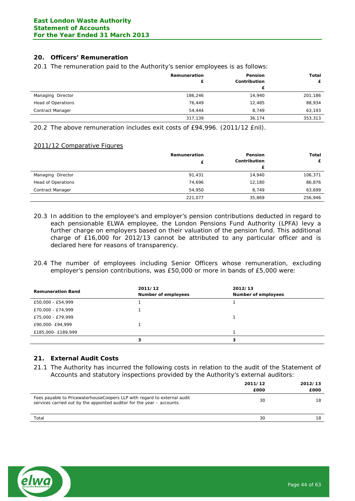# **20. Officers' Remuneration**

20.1 The remuneration paid to the Authority's senior employees is as follows:

|                           | Remuneration<br>£ | Pension<br>Contribution<br>£ | Total<br>£ |
|---------------------------|-------------------|------------------------------|------------|
| Managing Director         | 186,246           | 14,940                       | 201,186    |
| <b>Head of Operations</b> | 76,449            | 12,485                       | 88,934     |
| Contract Manager          | 54.444            | 8.749                        | 63,193     |
|                           | 317,139           | 36,174                       | 353,313    |

20.2 The above remuneration includes exit costs of £94,996. (2011/12 £nil).

#### 2011/12 Comparative Figures

|                           | Remuneration | <b>Pension</b> | Total   |
|---------------------------|--------------|----------------|---------|
|                           |              | Contribution   |         |
|                           |              |                |         |
| Managing Director         | 91,431       | 14,940         | 106,371 |
| <b>Head of Operations</b> | 74,696       | 12,180         | 86,876  |
| Contract Manager          | 54,950       | 8,749          | 63,699  |
|                           | 221,077      | 35,869         | 256,946 |

- 20.3 In addition to the employee's and employer's pension contributions deducted in regard to each pensionable ELWA employee, the London Pensions Fund Authority (LPFA) levy a further charge on employers based on their valuation of the pension fund. This additional charge of £16,000 for 2012/13 cannot be attributed to any particular officer and is declared here for reasons of transparency.
- 20.4 The number of employees including Senior Officers whose remuneration, excluding employer's pension contributions, was £50,000 or more in bands of £5,000 were:

| <b>Remuneration Band</b> | 2011/12<br>Number of employees | 2012/13<br>Number of employees |
|--------------------------|--------------------------------|--------------------------------|
| £50,000 - £54,999        |                                |                                |
| £70,000 - £74,999        |                                |                                |
| £75,000 - £79,999        |                                |                                |
| £90,000- £94,999         |                                |                                |
| £185,000- £189,999       |                                |                                |
|                          | 3                              | з                              |

# **21. External Audit Costs**

21.1 The Authority has incurred the following costs in relation to the audit of the Statement of Accounts and statutory inspections provided by the Authority's external auditors:

|                                                                                                                                                     | 2011/12<br>£000 | 2012/13<br>£000 |
|-----------------------------------------------------------------------------------------------------------------------------------------------------|-----------------|-----------------|
| Fees payable to Pricewaterhouse Coopers LLP with regard to external audit<br>services carried out by the appointed auditor for the year – accounts. | 30              | 18              |
| Total                                                                                                                                               | 30              | 18              |

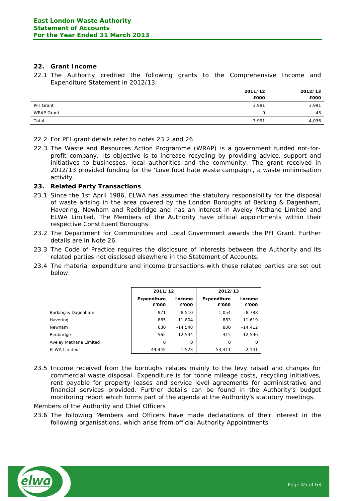# **22. Grant Income**

22.1 The Authority credited the following grants to the Comprehensive Income and Expenditure Statement in 2012/13:

|                   | 2011/12<br>£000 | 2012/13<br>£000 |
|-------------------|-----------------|-----------------|
| PFI Grant         | 3,991           | 3,991           |
| <b>WRAP Grant</b> | $\Omega$        | 45              |
| Total             | 3,991           | 4,036           |

- 22.2 For PFI grant details refer to notes 23.2 and 26.
- 22.3 The Waste and Resources Action Programme (WRAP) is a government funded not-forprofit company. Its objective is to increase recycling by providing advice, support and initiatives to businesses, local authorities and the community. The grant received in 2012/13 provided funding for the 'Love food hate waste campaign', a waste minimisation activity.

#### **23. Related Party Transactions**

- 23.1 Since the 1st April 1986, ELWA has assumed the statutory responsibility for the disposal of waste arising in the area covered by the London Boroughs of Barking & Dagenham, Havering, Newham and Redbridge and has an interest in Aveley Methane Limited and ELWA Limited. The Members of the Authority have official appointments within their respective Constituent Boroughs.
- 23.2 The Department for Communities and Local Government awards the PFI Grant. Further details are in Note 26.
- 23.3 The Code of Practice requires the disclosure of interests between the Authority and its related parties not disclosed elsewhere in the Statement of Accounts.
- 23.4 The material expenditure and income transactions with these related parties are set out below.

|                        | 2011/12                     |                 | 2012/13                     |                 |
|------------------------|-----------------------------|-----------------|-----------------------------|-----------------|
|                        | <b>Expenditure</b><br>£'000 | Income<br>£'000 | <b>Expenditure</b><br>£'000 | Income<br>£'000 |
| Barking & Dagenham     | 971                         | $-8,510$        | 1,054                       | $-8,788$        |
| Havering               | 865                         | $-11,804$       | 883                         | $-11,619$       |
| Newham                 | 630                         | $-14.548$       | 800                         | $-14,412$       |
| Redbridge              | 565                         | $-12.534$       | 415                         | $-12.596$       |
| Aveley Methane Limited | 0                           | 0               | $\Omega$                    | 0               |
| <b>ELWA Limited</b>    | 49.445                      | $-1.523$        | 53,411                      | $-2.141$        |

23.5 Income received from the boroughs relates mainly to the levy raised and charges for commercial waste disposal. Expenditure is for tonne mileage costs, recycling initiatives, rent payable for property leases and service level agreements for administrative and financial services provided. Further details can be found in the Authority's budget monitoring report which forms part of the agenda at the Authority's statutory meetings.

#### Members of the Authority and Chief Officers

23.6 The following Members and Officers have made declarations of their interest in the following organisations, which arise from official Authority Appointments.

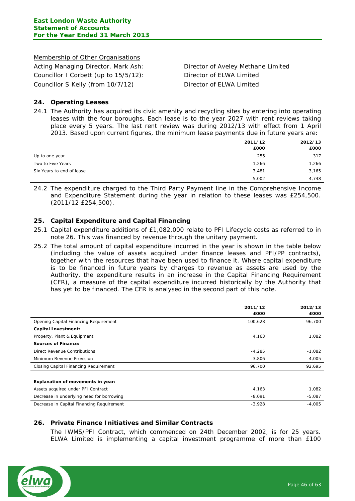#### Membership of Other Organisations

Acting Managing Director, Mark Ash: Director of Aveley Methane Limited Councillor I Corbett (up to 15/5/12): Director of ELWA Limited Councillor S Kelly (from 10/7/12) Director of ELWA Limited

## **24. Operating Leases**

24.1 The Authority has acquired its civic amenity and recycling sites by entering into operating leases with the four boroughs. Each lease is to the year 2027 with rent reviews taking place every 5 years. The last rent review was during 2012/13 with effect from 1 April 2013. Based upon current figures, the minimum lease payments due in future years are:

|                           | 2011/12 | 2012/13 |
|---------------------------|---------|---------|
|                           | £000    | £000    |
| Up to one year            | 255     | 317     |
| Two to Five Years         | 1,266   | 1,266   |
| Six Years to end of lease | 3,481   | 3,165   |
|                           | 5,002   | 4,748   |

24.2 The expenditure charged to the Third Party Payment line in the Comprehensive Income and Expenditure Statement during the year in relation to these leases was £254,500. (2011/12 £254,500).

#### **25. Capital Expenditure and Capital Financing**

- 25.1 Capital expenditure additions of £1,082,000 relate to PFI Lifecycle costs as referred to in note 26. This was financed by revenue through the unitary payment.
- 25.2 The total amount of capital expenditure incurred in the year is shown in the table below (including the value of assets acquired under finance leases and PFI/PP contracts), together with the resources that have been used to finance it. Where capital expenditure is to be financed in future years by charges to revenue as assets are used by the Authority, the expenditure results in an increase in the Capital Financing Requirement (CFR), a measure of the capital expenditure incurred historically by the Authority that has yet to be financed. The CFR is analysed in the second part of this note.

|                                           | 2011/12  | 2012/13  |
|-------------------------------------------|----------|----------|
|                                           | £000     | £000     |
| Opening Capital Financing Requirement     | 100,628  | 96,700   |
| <b>Capital Investment:</b>                |          |          |
| Property, Plant & Equipment               | 4,163    | 1,082    |
| <b>Sources of Finance:</b>                |          |          |
| Direct Revenue Contributions              | $-4,285$ | $-1,082$ |
| Minimum Revenue Provision                 | $-3,806$ | $-4,005$ |
| Closing Capital Financing Requirement     | 96,700   | 92,695   |
|                                           |          |          |
| Explanation of movements in year:         |          |          |
| Assets acquired under PFI Contract        | 4,163    | 1,082    |
| Decrease in underlying need for borrowing | $-8,091$ | $-5,087$ |
| Decrease in Capital Financing Requirement | $-3,928$ | $-4.005$ |

## **26. Private Finance Initiatives and Similar Contracts**

The IWMS/PFI Contract, which commenced on 24th December 2002, is for 25 years. ELWA Limited is implementing a capital investment programme of more than £100

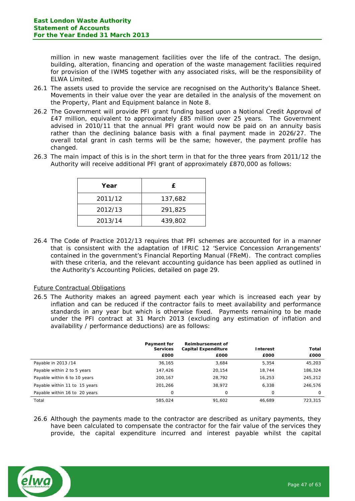million in new waste management facilities over the life of the contract. The design, building, alteration, financing and operation of the waste management facilities required for provision of the IWMS together with any associated risks, will be the responsibility of ELWA Limited.

- 26.1 The assets used to provide the service are recognised on the Authority's Balance Sheet. Movements in their value over the year are detailed in the analysis of the movement on the Property, Plant and Equipment balance in Note 8.
- 26.2 The Government will provide PFI grant funding based upon a Notional Credit Approval of £47 million, equivalent to approximately £85 million over 25 years. The Government advised in 2010/11 that the annual PFI grant would now be paid on an annuity basis rather than the declining balance basis with a final payment made in 2026/27. The overall total grant in cash terms will be the same; however, the payment profile has changed.
- 26.3 The main impact of this is in the short term in that for the three years from 2011/12 the Authority will receive additional PFI grant of approximately £870,000 as follows:

| Year    | £       |
|---------|---------|
| 2011/12 | 137,682 |
| 2012/13 | 291,825 |
| 2013/14 | 439,802 |

26.4 The Code of Practice 2012/13 requires that PFI schemes are accounted for in a manner that is consistent with the adaptation of IFRIC 12 'Service Concession Arrangements' contained in the government's Financial Reporting Manual (FReM). The contract complies with these criteria, and the relevant accounting guidance has been applied as outlined in the Authority's Accounting Policies, detailed on page 29.

Future Contractual Obligations

26.5 The Authority makes an agreed payment each year which is increased each year by inflation and can be reduced if the contractor fails to meet availability and performance standards in any year but which is otherwise fixed. Payments remaining to be made under the PFI contract at 31 March 2013 (excluding any estimation of inflation and availability / performance deductions) are as follows:

|                               | Payment for     | <b>Reimbursement of</b>    |          |          |
|-------------------------------|-----------------|----------------------------|----------|----------|
|                               | <b>Services</b> | <b>Capital Expenditure</b> | Interest | Total    |
|                               | £000            | £000                       | £000     | £000     |
| Payable in 2013 /14           | 36.165          | 3.684                      | 5.354    | 45,203   |
| Payable within 2 to 5 years   | 147.426         | 20.154                     | 18,744   | 186,324  |
| Payable within 6 to 10 years  | 200,167         | 28.792                     | 16,253   | 245,212  |
| Payable within 11 to 15 years | 201.266         | 38,972                     | 6.338    | 246,576  |
| Payable within 16 to 20 years | 0               | 0                          | 0        | $\Omega$ |
| Total                         | 585.024         | 91.602                     | 46.689   | 723.315  |

26.6 Although the payments made to the contractor are described as unitary payments, they have been calculated to compensate the contractor for the fair value of the services they provide, the capital expenditure incurred and interest payable whilst the capital

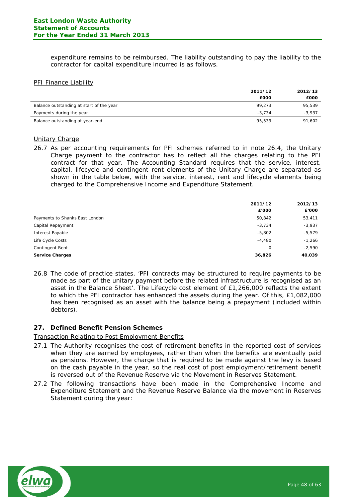expenditure remains to be reimbursed. The liability outstanding to pay the liability to the contractor for capital expenditure incurred is as follows.

# PFI Finance Liability

|                                          | 2011/12  | 2012/13  |
|------------------------------------------|----------|----------|
|                                          | £000     | £000     |
| Balance outstanding at start of the year | 99.273   | 95,539   |
| Payments during the year                 | $-3.734$ | $-3,937$ |
| Balance outstanding at year-end          | 95.539   | 91,602   |

#### Unitary Charge

26.7 As per accounting requirements for PFI schemes referred to in note 26.4, the Unitary Charge payment to the contractor has to reflect all the charges relating to the PFI contract for that year. The Accounting Standard requires that the service, interest, capital, lifecycle and contingent rent elements of the Unitary Charge are separated as shown in the table below, with the service, interest, rent and lifecycle elements being charged to the Comprehensive Income and Expenditure Statement.

|                                | 2011/12<br>£'000 | 2012/13<br>£'000 |
|--------------------------------|------------------|------------------|
| Payments to Shanks East London | 50,842           | 53,411           |
| Capital Repayment              | $-3,734$         | $-3,937$         |
| Interest Payable               | $-5,802$         | $-5,579$         |
| Life Cycle Costs               | $-4,480$         | $-1,266$         |
| Contingent Rent                | 0                | $-2,590$         |
| <b>Service Charges</b>         | 36,826           | 40,039           |

26.8 The code of practice states, 'PFI contracts may be structured to require payments to be made as part of the unitary payment before the related infrastructure is recognised as an asset in the Balance Sheet'. The Lifecycle cost element of £1,266,000 reflects the extent to which the PFI contractor has enhanced the assets during the year. Of this, £1,082,000 has been recognised as an asset with the balance being a prepayment (included within debtors).

## **27. Defined Benefit Pension Schemes**

## Transaction Relating to Post Employment Benefits

- 27.1 The Authority recognises the cost of retirement benefits in the reported cost of services when they are earned by employees, rather than when the benefits are eventually paid as pensions. However, the charge that is required to be made against the levy is based on the cash payable in the year, so the real cost of post employment/retirement benefit is reversed out of the Revenue Reserve via the Movement in Reserves Statement.
- 27.2 The following transactions have been made in the Comprehensive Income and Expenditure Statement and the Revenue Reserve Balance via the movement in Reserves Statement during the year:

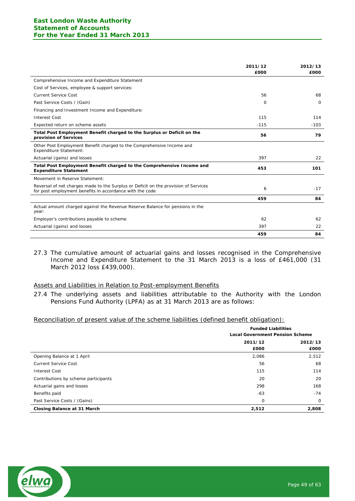|                                                                                                                                                 | 2011/12  | 2012/13  |
|-------------------------------------------------------------------------------------------------------------------------------------------------|----------|----------|
|                                                                                                                                                 | £000     | £000     |
| Comprehensive Income and Expenditure Statement                                                                                                  |          |          |
| Cost of Services, employee & support services:                                                                                                  |          |          |
| Current Service Cost                                                                                                                            | 56       | 68       |
| Past Service Costs / (Gain)                                                                                                                     | $\Omega$ | $\Omega$ |
| Financing and Investment Income and Expenditure:                                                                                                |          |          |
| <b>Interest Cost</b>                                                                                                                            | 115      | 114      |
| Expected return on scheme assets                                                                                                                | $-115$   | $-103$   |
| Total Post Employment Benefit charged to the Surplus or Deficit on the<br>provision of Services                                                 | 56       | 79       |
| Other Post Employment Benefit charged to the Comprehensive Income and<br><b>Expenditure Statement:</b>                                          |          |          |
| Actuarial (gains) and losses                                                                                                                    | 397      | 22       |
| Total Post Employment Benefit charged to the Comprehensive Income and<br><b>Expenditure Statement</b>                                           | 453      | 101      |
| Movement in Reserve Statement:                                                                                                                  |          |          |
| Reversal of net charges made to the Surplus or Deficit on the provision of Services<br>for post employment benefits in accordance with the code | 6        | $-17$    |
|                                                                                                                                                 | 459      | 84       |
| Actual amount charged against the Revenue Reserve Balance for pensions in the<br>year:                                                          |          |          |
| Employer's contributions payable to scheme                                                                                                      | 62       | 62       |
| Actuarial (gains) and losses                                                                                                                    | 397      | 22       |
|                                                                                                                                                 | 459      | 84       |

27.3 The cumulative amount of actuarial gains and losses recognised in the Comprehensive Income and Expenditure Statement to the 31 March 2013 is a loss of £461,000 (31 March 2012 loss £439,000).

#### Assets and Liabilities in Relation to Post-employment Benefits

27.4 The underlying assets and liabilities attributable to the Authority with the London Pensions Fund Authority (LPFA) as at 31 March 2013 are as follows:

#### Reconciliation of present value of the scheme liabilities (defined benefit obligation):

|                                      | <b>Funded Liabilities</b><br><b>Local Government Pension Scheme</b> |          |  |
|--------------------------------------|---------------------------------------------------------------------|----------|--|
|                                      | 2011/12                                                             | 2012/13  |  |
|                                      | £000                                                                | £000     |  |
| Opening Balance at 1 April           | 2,086                                                               | 2,512    |  |
| <b>Current Service Cost</b>          | 56                                                                  | 68       |  |
| <b>Interest Cost</b>                 | 115                                                                 | 114      |  |
| Contributions by scheme participants | 20                                                                  | 20       |  |
| Actuarial gains and losses           | 298                                                                 | 168      |  |
| Benefits paid                        | $-63$                                                               | $-74$    |  |
| Past Service Costs / (Gains)         | 0                                                                   | $\Omega$ |  |
| Closing Balance at 31 March          | 2,512                                                               | 2,808    |  |

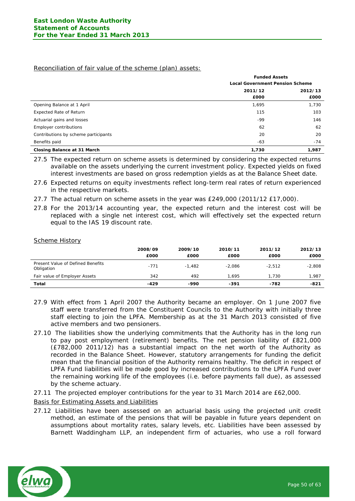#### Reconciliation of fair value of the scheme (plan) assets:

|                                      | <b>Funded Assets</b> |                                        |  |  |  |
|--------------------------------------|----------------------|----------------------------------------|--|--|--|
|                                      |                      | <b>Local Government Pension Scheme</b> |  |  |  |
|                                      | 2011/12              | 2012/13                                |  |  |  |
|                                      | £000                 | £000                                   |  |  |  |
| Opening Balance at 1 April           | 1,695                | 1,730                                  |  |  |  |
| <b>Expected Rate of Return</b>       | 115                  | 103                                    |  |  |  |
| Actuarial gains and losses           | -99                  | 146                                    |  |  |  |
| Employer contributions               | 62                   | 62                                     |  |  |  |
| Contributions by scheme participants | 20                   | 20                                     |  |  |  |
| Benefits paid                        | $-63$                | $-74$                                  |  |  |  |
| Closing Balance at 31 March          | 1,730                | 1,987                                  |  |  |  |

27.5 The expected return on scheme assets is determined by considering the expected returns available on the assets underlying the current investment policy. Expected yields on fixed interest investments are based on gross redemption yields as at the Balance Sheet date.

27.6 Expected returns on equity investments reflect long-term real rates of return experienced in the respective markets.

- 27.7 The actual return on scheme assets in the year was £249,000 (2011/12 £17,000).
- 27.8 For the 2013/14 accounting year, the expected return and the interest cost will be replaced with a single net interest cost, which will effectively set the expected return equal to the IAS 19 discount rate.

#### Scheme History

|                                                 | 2008/09<br>£000 | 2009/10<br>£000 | 2010/11<br>£000 | 2011/12<br>£000 | 2012/13<br>£000 |
|-------------------------------------------------|-----------------|-----------------|-----------------|-----------------|-----------------|
| Present Value of Defined Benefits<br>Obligation | $-771$          | $-1.482$        | $-2.086$        | $-2.512$        | $-2,808$        |
| Fair value of Employer Assets                   | 342             | 492             | 1.695           | 1.730           | 1.987           |
| Total                                           | $-429$          | -990            | -391            | -782            | -821            |

- 27.9 With effect from 1 April 2007 the Authority became an employer. On 1 June 2007 five staff were transferred from the Constituent Councils to the Authority with initially three staff electing to join the LPFA. Membership as at the 31 March 2013 consisted of five active members and two pensioners.
- 27.10 The liabilities show the underlying commitments that the Authority has in the long run to pay post employment (retirement) benefits. The net pension liability of £821,000 (£782,000 2011/12) has a substantial impact on the net worth of the Authority as recorded in the Balance Sheet. However, statutory arrangements for funding the deficit mean that the financial position of the Authority remains healthy. The deficit in respect of LPFA Fund liabilities will be made good by increased contributions to the LPFA Fund over the remaining working life of the employees (i.e. before payments fall due), as assessed by the scheme actuary.
- 27.11 The projected employer contributions for the year to 31 March 2014 are £62,000.

Basis for Estimating Assets and Liabilities

27.12 Liabilities have been assessed on an actuarial basis using the projected unit credit method, an estimate of the pensions that will be payable in future years dependent on assumptions about mortality rates, salary levels, etc. Liabilities have been assessed by Barnett Waddingham LLP, an independent firm of actuaries, who use a roll forward

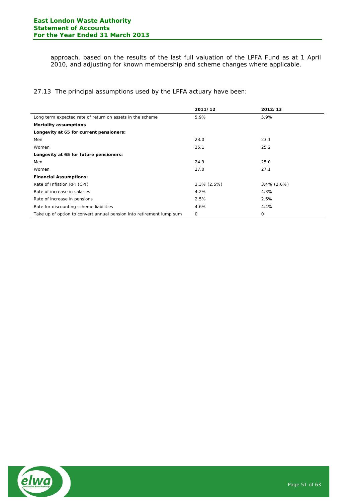approach, based on the results of the last full valuation of the LPFA Fund as at 1 April 2010, and adjusting for known membership and scheme changes where applicable.

27.13 The principal assumptions used by the LPFA actuary have been:

|                                                                      | 2011/12        | 2012/13        |
|----------------------------------------------------------------------|----------------|----------------|
| Long term expected rate of return on assets in the scheme            | 5.9%           | 5.9%           |
| <b>Mortality assumptions</b>                                         |                |                |
| Longevity at 65 for current pensioners:                              |                |                |
| Men                                                                  | 23.0           | 23.1           |
| Women                                                                | 25.1           | 25.2           |
| Longevity at 65 for future pensioners:                               |                |                |
| Men                                                                  | 24.9           | 25.0           |
| Women                                                                | 27.0           | 27.1           |
| <b>Financial Assumptions:</b>                                        |                |                |
| Rate of Inflation RPI (CPI)                                          | $3.3\%$ (2.5%) | $3.4\%$ (2.6%) |
| Rate of increase in salaries                                         | 4.2%           | 4.3%           |
| Rate of increase in pensions                                         | 2.5%           | 2.6%           |
| Rate for discounting scheme liabilities                              | 4.6%           | 4.4%           |
| Take up of option to convert annual pension into retirement lump sum | 0              | 0              |

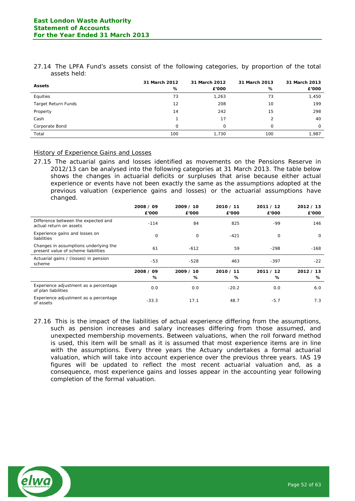|              |  |  |  | 27.14 The LPFA Fund's assets consist of the following categories, by proportion of the total |  |  |  |
|--------------|--|--|--|----------------------------------------------------------------------------------------------|--|--|--|
| assets held: |  |  |  |                                                                                              |  |  |  |

| <b>Assets</b>              | 31 March 2012<br>% | 31 March 2012<br>£'000 | 31 March 2013<br>% | 31 March 2013<br>£'000 |
|----------------------------|--------------------|------------------------|--------------------|------------------------|
| Equities                   | 73                 | 1,263                  | 73                 | 1,450                  |
| <b>Target Return Funds</b> | 12                 | 208                    | 10                 | 199                    |
| Property                   | 14                 | 242                    | 15                 | 298                    |
| Cash                       |                    | 17                     | 2                  | 40                     |
| Corporate Bond             | 0                  | 0                      | 0                  | $\circ$                |
| Total                      | 100                | 1,730                  | 100                | 1.987                  |

# History of Experience Gains and Losses

27.15 The actuarial gains and losses identified as movements on the Pensions Reserve in 2012/13 can be analysed into the following categories at 31 March 2013. The table below shows the changes in actuarial deficits or surpluses that arise because either actual experience or events have not been exactly the same as the assumptions adopted at the previous valuation (experience gains and losses) or the actuarial assumptions have changed.

|                                                                              | 2008 / 09<br>£'000 | 2009 / 10<br>£'000 | 2010 / 11<br>£'000 | 2011 / 12<br>£'000 | 2012 / 13<br>£'000 |
|------------------------------------------------------------------------------|--------------------|--------------------|--------------------|--------------------|--------------------|
| Difference between the expected and<br>actual return on assets               | $-114$             | 84                 | 825                | $-99$              | 146                |
| Experience gains and losses on<br>liabilities                                | 0                  | 0                  | $-421$             | 0                  | $\mathbf 0$        |
| Changes in assumptions underlying the<br>present value of scheme liabilities | 61                 | $-612$             | 59                 | $-298$             | $-168$             |
| Actuarial gains / (losses) in pension<br>scheme                              | -53                | $-528$             | 463                | $-397$             | $-22$              |
|                                                                              | 2008 / 09          | 2009 / 10          | 2010 / 11          | 2011 / 12          | 2012 / 13          |
|                                                                              | %                  | %                  | %                  | %                  | ℅                  |
| Experience adjustment as a percentage<br>of plan liabilities                 | 0.0                | 0.0                | $-20.2$            | 0.0                | 6.0                |
| Experience adjustment as a percentage<br>of assets                           | $-33.3$            | 17.1               | 48.7               | $-5.7$             | 7.3                |

27.16 This is the impact of the liabilities of actual experience differing from the assumptions, such as pension increases and salary increases differing from those assumed, and unexpected membership movements. Between valuations, when the roll forward method is used, this item will be small as it is assumed that most experience items are in line with the assumptions. Every three years the Actuary undertakes a formal actuarial valuation, which will take into account experience over the previous three years. IAS 19 figures will be updated to reflect the most recent actuarial valuation and, as a consequence, most experience gains and losses appear in the accounting year following completion of the formal valuation.

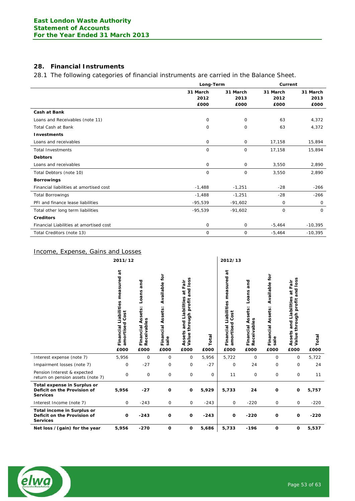# **28. Financial Instruments**

28.1 The following categories of financial instruments are carried in the Balance Sheet.

|                                         |              | Long-Term   |             |             |
|-----------------------------------------|--------------|-------------|-------------|-------------|
|                                         | 31 March     | 31 March    | 31 March    | 31 March    |
|                                         | 2012         | 2013        | 2012        | 2013        |
|                                         | £000         | £000        | £000        | £000        |
| <b>Cash at Bank</b>                     |              |             |             |             |
| Loans and Receivables (note 11)         | $\mathbf 0$  | 0           | 63          | 4,372       |
| <b>Total Cash at Bank</b>               | 0            | 0           | 63          | 4,372       |
| <b>Investments</b>                      |              |             |             |             |
| Loans and receivables                   | 0            | $\mathbf 0$ | 17,158      | 15,894      |
| <b>Total Investments</b>                | $\mathbf 0$  | 0           | 17,158      | 15,894      |
| <b>Debtors</b>                          |              |             |             |             |
| Loans and receivables                   | 0            | $\mathbf 0$ | 3,550       | 2,890       |
| Total Debtors (note 10)                 | 0            | 0           | 3,550       | 2,890       |
| <b>Borrowings</b>                       |              |             |             |             |
| Financial liabilities at amortised cost | $-1,488$     | $-1,251$    | $-28$       | $-266$      |
| <b>Total Borrowings</b>                 | $-1,488$     | $-1,251$    | $-28$       | $-266$      |
| PFI and finance lease liabilities       | $-95,539$    | $-91,602$   | 0           | $\mathbf 0$ |
| Total other long term liabilities       | $-95,539$    | $-91,602$   | $\mathbf 0$ | $\mathbf 0$ |
| <b>Creditors</b>                        |              |             |             |             |
| Financial Liabilities at amortised cost | $\mathsf{O}$ | $\mathbf 0$ | $-5,464$    | $-10,395$   |
| Total Creditors (note 13)               | 0            | 0           | $-5,464$    | $-10,395$   |

# Income, Expense, Gains and Losses

|                                                                               | 2011/12                                                     |                                                             |                                                           |                                                                                                         |               | 2012/13                                                       |                                                                     |                                                    |                                                                                                      |               |
|-------------------------------------------------------------------------------|-------------------------------------------------------------|-------------------------------------------------------------|-----------------------------------------------------------|---------------------------------------------------------------------------------------------------------|---------------|---------------------------------------------------------------|---------------------------------------------------------------------|----------------------------------------------------|------------------------------------------------------------------------------------------------------|---------------|
|                                                                               | Financial Liabilities measured<br>Cost<br>amortised<br>£000 | and<br>Loans<br>Assets:<br>Receivables<br>Financial<br>£000 | Available for<br><b>Financial Assets:</b><br>sale<br>£000 | and loss<br>at Fair<br>and Liabilities<br>profit<br>through<br>ssets<br>Value <sup>-</sup><br>⋖<br>£000 | Total<br>£000 | ត<br>Financial Liabilities measured<br>amortised Cost<br>£000 | and<br>Loans<br>sets:<br>ü<br>Receivables<br>⋖<br>Financial<br>£000 | Available for<br>Financial Assets:<br>sale<br>£000 | and loss<br>at Fair<br>Assets and Liabilities<br>Value through profit a<br>profit<br>through<br>£000 | Total<br>£000 |
| Interest expense (note 7)                                                     | 5,956                                                       | 0                                                           | $\mathbf 0$                                               | $\mathsf{O}$                                                                                            | 5,956         | 5,722                                                         | 0                                                                   | 0                                                  | 0                                                                                                    | 5,722         |
| Impairment losses (note 7)                                                    | 0                                                           | $-27$                                                       | $\mathbf 0$                                               | 0                                                                                                       | $-27$         | 0                                                             | 24                                                                  | 0                                                  | 0                                                                                                    | 24            |
| Pension Interest & expected<br>return on pension assets (note 7)              | $\mathbf 0$                                                 | 0                                                           | 0                                                         | $\mathsf{O}$                                                                                            | 0             | 11                                                            | 0                                                                   | 0                                                  | 0                                                                                                    | 11            |
| Total expense in Surplus or<br>Deficit on the Provision of<br><b>Services</b> | 5,956                                                       | $-27$                                                       | O                                                         | 0                                                                                                       | 5,929         | 5,733                                                         | 24                                                                  | O                                                  | 0                                                                                                    | 5,757         |
| Interest Income (note 7)                                                      | 0                                                           | $-243$                                                      | 0                                                         | $\mathbf 0$                                                                                             | $-243$        | 0                                                             | $-220$                                                              | $\mathbf 0$                                        | $\mathbf 0$                                                                                          | $-220$        |
| Total income in Surplus or<br>Deficit on the Provision of                     | $\mathbf 0$                                                 | $-243$                                                      | O                                                         | 0                                                                                                       | $-243$        | O                                                             | $-220$                                                              | O                                                  | $\mathbf o$                                                                                          | $-220$        |
| <b>Services</b>                                                               |                                                             |                                                             |                                                           |                                                                                                         |               |                                                               |                                                                     |                                                    |                                                                                                      |               |

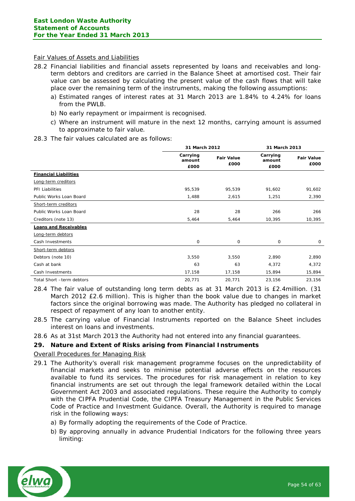#### Fair Values of Assets and Liabilities

- 28.2 Financial liabilities and financial assets represented by loans and receivables and longterm debtors and creditors are carried in the Balance Sheet at amortised cost. Their fair value can be assessed by calculating the present value of the cash flows that will take place over the remaining term of the instruments, making the following assumptions:
	- a) Estimated ranges of interest rates at 31 March 2013 are 1.84% to 4.24% for loans from the PWLB.
	- b) No early repayment or impairment is recognised.
	- c) Where an instrument will mature in the next 12 months, carrying amount is assumed to approximate to fair value.
- 28.3 The fair values calculated are as follows:

|                              |                            | 31 March 2012             |                            |                           |
|------------------------------|----------------------------|---------------------------|----------------------------|---------------------------|
|                              | Carrying<br>amount<br>£000 | <b>Fair Value</b><br>£000 | Carrying<br>amount<br>£000 | <b>Fair Value</b><br>£000 |
| <b>Financial Liabilities</b> |                            |                           |                            |                           |
| Long-term creditors          |                            |                           |                            |                           |
| PFI Liabilities              | 95,539                     | 95,539                    | 91,602                     | 91,602                    |
| Public Works Loan Board      | 1,488                      | 2,615                     | 1,251                      | 2,390                     |
| Short-term creditors         |                            |                           |                            |                           |
| Public Works Loan Board      | 28                         | 28                        | 266                        | 266                       |
| Creditors (note 13)          | 5,464                      | 5,464                     | 10,395                     | 10,395                    |
| <b>Loans and Receivables</b> |                            |                           |                            |                           |
| Long-term debtors            |                            |                           |                            |                           |
| Cash Investments             | 0                          | 0                         | 0                          | $\mathbf 0$               |
| Short-term debtors           |                            |                           |                            |                           |
| Debtors (note 10)            | 3,550                      | 3,550                     | 2,890                      | 2,890                     |
| Cash at bank                 | 63                         | 63                        | 4,372                      | 4,372                     |
| Cash Investments             | 17,158                     | 17,158                    | 15,894                     | 15,894                    |
| Total Short -term debtors    | 20,771                     | 20,771                    | 23,156                     | 23,156                    |

- 28.4 The fair value of outstanding long term debts as at 31 March 2013 is £2.4million. (31 March 2012 £2.6 million). This is higher than the book value due to changes in market factors since the original borrowing was made. The Authority has pledged no collateral in respect of repayment of any loan to another entity.
- 28.5 The carrying value of Financial Instruments reported on the Balance Sheet includes interest on loans and investments.
- 28.6 As at 31st March 2013 the Authority had not entered into any financial guarantees.

## **29. Nature and Extent of Risks arising from Financial Instruments**

## Overall Procedures for Managing Risk

- 29.1 The Authority's overall risk management programme focuses on the unpredictability of financial markets and seeks to minimise potential adverse effects on the resources available to fund its services. The procedures for risk management in relation to key financial instruments are set out through the legal framework detailed within the Local Government Act 2003 and associated regulations. These require the Authority to comply with the CIPFA Prudential Code, the CIPFA Treasury Management in the Public Services Code of Practice and Investment Guidance. Overall, the Authority is required to manage risk in the following ways:
	- a) By formally adopting the requirements of the Code of Practice.
	- b) By approving annually in advance Prudential Indicators for the following three years limiting:

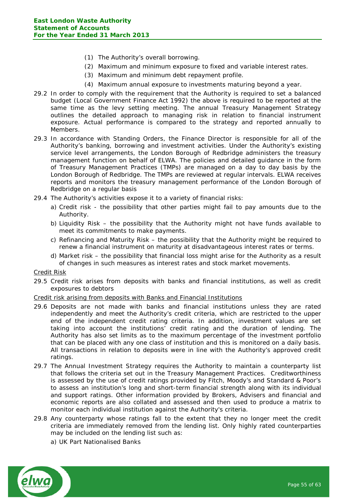- (1) The Authority's overall borrowing.
- (2) Maximum and minimum exposure to fixed and variable interest rates.
- (3) Maximum and minimum debt repayment profile.
- (4) Maximum annual exposure to investments maturing beyond a year.
- 29.2 In order to comply with the requirement that the Authority is required to set a balanced budget (Local Government Finance Act 1992) the above is required to be reported at the same time as the levy setting meeting. The annual Treasury Management Strategy outlines the detailed approach to managing risk in relation to financial instrument exposure. Actual performance is compared to the strategy and reported annually to Members.
- 29.3 In accordance with Standing Orders, the Finance Director is responsible for all of the Authority's banking, borrowing and investment activities. Under the Authority's existing service level arrangements, the London Borough of Redbridge administers the treasury management function on behalf of ELWA. The policies and detailed guidance in the form of Treasury Management Practices (TMPs) are managed on a day to day basis by the London Borough of Redbridge. The TMPs are reviewed at regular intervals. ELWA receives reports and monitors the treasury management performance of the London Borough of Redbridge on a regular basis
- 29.4 The Authority's activities expose it to a variety of financial risks:
	- a) Credit risk the possibility that other parties might fail to pay amounts due to the Authority.
	- b) Liquidity Risk the possibility that the Authority might not have funds available to meet its commitments to make payments.
	- c) Refinancing and Maturity Risk the possibility that the Authority might be required to renew a financial instrument on maturity at disadvantageous interest rates or terms.
	- d) Market risk the possibility that financial loss might arise for the Authority as a result of changes in such measures as interest rates and stock market movements.

#### Credit Risk

29.5 Credit risk arises from deposits with banks and financial institutions, as well as credit exposures to debtors

#### Credit risk arising from deposits with Banks and Financial Institutions

- 29.6 Deposits are not made with banks and financial institutions unless they are rated independently and meet the Authority's credit criteria, which are restricted to the upper end of the independent credit rating criteria. In addition, investment values are set taking into account the institutions' credit rating and the duration of lending. The Authority has also set limits as to the maximum percentage of the investment portfolio that can be placed with any one class of institution and this is monitored on a daily basis. All transactions in relation to deposits were in line with the Authority's approved credit ratings.
- 29.7 The Annual Investment Strategy requires the Authority to maintain a counterparty list that follows the criteria set out in the Treasury Management Practices. Creditworthiness is assessed by the use of credit ratings provided by Fitch, Moody's and Standard & Poor's to assess an institution's long and short-term financial strength along with its individual and support ratings. Other information provided by Brokers, Advisers and financial and economic reports are also collated and assessed and then used to produce a matrix to monitor each individual institution against the Authority's criteria.
- 29.8 Any counterparty whose ratings fall to the extent that they no longer meet the credit criteria are immediately removed from the lending list. Only highly rated counterparties may be included on the lending list such as:
	- a) UK Part Nationalised Banks

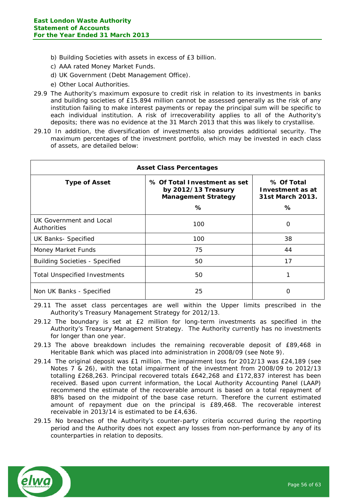- b) Building Societies with assets in excess of £3 billion.
- c) AAA rated Money Market Funds.
- d) UK Government (Debt Management Office).
- e) Other Local Authorities.
- 29.9 The Authority's maximum exposure to credit risk in relation to its investments in banks and building societies of £15.894 million cannot be assessed generally as the risk of any institution failing to make interest payments or repay the principal sum will be specific to each individual institution. A risk of irrecoverability applies to all of the Authority's deposits; there was no evidence at the 31 March 2013 that this was likely to crystallise.
- 29.10 In addition, the diversification of investments also provides additional security. The maximum percentages of the investment portfolio, which may be invested in each class of assets, are detailed below:

| <b>Asset Class Percentages</b>         |                                                                                        |                                                         |  |  |  |
|----------------------------------------|----------------------------------------------------------------------------------------|---------------------------------------------------------|--|--|--|
| <b>Type of Asset</b>                   | % Of Total Investment as set<br>by 2012/13 Treasury<br><b>Management Strategy</b><br>% | % Of Total<br>Investment as at<br>31st March 2013.<br>℅ |  |  |  |
| UK Government and Local<br>Authorities | 100                                                                                    | O                                                       |  |  |  |
| <b>UK Banks- Specified</b>             | 100                                                                                    | 38                                                      |  |  |  |
| Money Market Funds                     | 75                                                                                     | 44                                                      |  |  |  |
| <b>Building Societies - Specified</b>  | 50                                                                                     | 17                                                      |  |  |  |
| Total Unspecified Investments          | 50                                                                                     | 1                                                       |  |  |  |
| Non UK Banks - Specified               | 25                                                                                     | O                                                       |  |  |  |

29.11 The asset class percentages are well within the Upper limits prescribed in the Authority's Treasury Management Strategy for 2012/13.

- 29.12 The boundary is set at £2 million for long-term investments as specified in the Authority's Treasury Management Strategy. The Authority currently has no investments for longer than one year.
- 29.13 The above breakdown includes the remaining recoverable deposit of £89,468 in Heritable Bank which was placed into administration in 2008/09 (see Note 9).
- 29.14 The original deposit was £1 million. The impairment loss for 2012/13 was £24,189 (see Notes 7 & 26), with the total impairment of the investment from 2008/09 to 2012/13 totalling £268,263. Principal recovered totals £642,268 and £172,837 interest has been received. Based upon current information, the Local Authority Accounting Panel (LAAP) recommend the estimate of the recoverable amount is based on a total repayment of 88% based on the midpoint of the base case return. Therefore the current estimated amount of repayment due on the principal is £89,468. The recoverable interest receivable in 2013/14 is estimated to be £4,636.
- 29.15 No breaches of the Authority's counter-party criteria occurred during the reporting period and the Authority does not expect any losses from non-performance by any of its counterparties in relation to deposits.

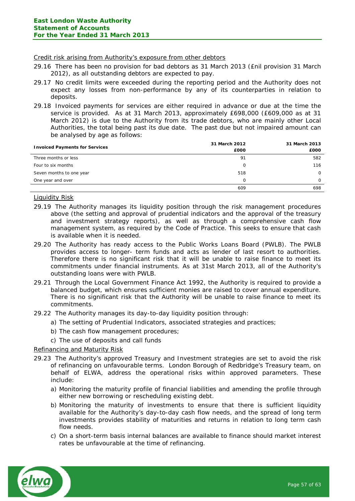#### Credit risk arising from Authority's exposure from other debtors

- 29.16 There has been no provision for bad debtors as 31 March 2013 (£nil provision 31 March 2012), as all outstanding debtors are expected to pay.
- 29.17 No credit limits were exceeded during the reporting period and the Authority does not expect any losses from non-performance by any of its counterparties in relation to deposits.
- 29.18 Invoiced payments for services are either required in advance or due at the time the service is provided. As at 31 March 2013, approximately £698,000 (£609,000 as at 31 March 2012) is due to the Authority from its trade debtors, who are mainly other Local Authorities, the total being past its due date. The past due but not impaired amount can be analysed by age as follows:

| <b>Invoiced Payments for Services</b> | 31 March 2012 | 31 March 2013 |
|---------------------------------------|---------------|---------------|
|                                       | £000          | £000          |
| Three months or less                  | 91            | 582           |
| Four to six months                    | 0             | 116           |
| Seven months to one year              | 518           | $\Omega$      |
| One year and over                     | $\Omega$      | 0             |
|                                       | 609           | 698           |

# Liquidity Risk

- 29.19 The Authority manages its liquidity position through the risk management procedures above (the setting and approval of prudential indicators and the approval of the treasury and investment strategy reports), as well as through a comprehensive cash flow management system, as required by the Code of Practice. This seeks to ensure that cash is available when it is needed.
- 29.20 The Authority has ready access to the Public Works Loans Board (PWLB). The PWLB provides access to longer- term funds and acts as lender of last resort to authorities. Therefore there is no significant risk that it will be unable to raise finance to meet its commitments under financial instruments. As at 31st March 2013, all of the Authority's outstanding loans were with PWLB.
- 29.21 Through the Local Government Finance Act 1992, the Authority is required to provide a balanced budget, which ensures sufficient monies are raised to cover annual expenditure. There is no significant risk that the Authority will be unable to raise finance to meet its commitments.
- 29.22 The Authority manages its day-to-day liquidity position through:
	- a) The setting of Prudential Indicators, associated strategies and practices;
	- b) The cash flow management procedures;
	- c) The use of deposits and call funds

## Refinancing and Maturity Risk

- 29.23 The Authority's approved Treasury and Investment strategies are set to avoid the risk of refinancing on unfavourable terms. London Borough of Redbridge's Treasury team, on behalf of ELWA, address the operational risks within approved parameters. These include:
	- a) Monitoring the maturity profile of financial liabilities and amending the profile through either new borrowing or rescheduling existing debt.
	- b) Monitoring the maturity of investments to ensure that there is sufficient liquidity available for the Authority's day-to-day cash flow needs, and the spread of long term investments provides stability of maturities and returns in relation to long term cash flow needs.
	- c) On a short-term basis internal balances are available to finance should market interest rates be unfavourable at the time of refinancing.

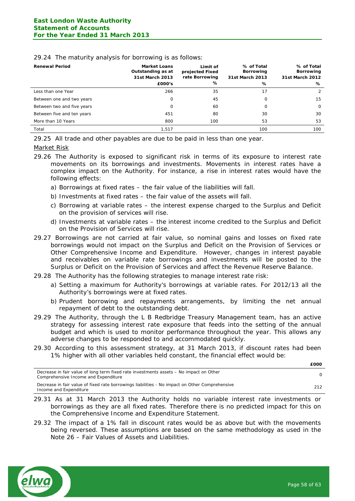| <b>Renewal Period</b>      | <b>Market Loans</b><br>Outstanding as at<br>31st March 2013 | Limit of<br>projected Fixed<br>rate Borrowing | % of Total<br>Borrowing<br>31st March 2013 | % of Total<br><b>Borrowing</b><br>31st March 2012 |
|----------------------------|-------------------------------------------------------------|-----------------------------------------------|--------------------------------------------|---------------------------------------------------|
|                            | £000's                                                      | ℅                                             | ℅                                          | %                                                 |
| Less than one Year         | 266                                                         | 35                                            | 17                                         | 2                                                 |
| Between one and two years  | 0                                                           | 45                                            | 0                                          | 15                                                |
| Between two and five years | 0                                                           | 60                                            | 0                                          | $\Omega$                                          |
| Between five and ten years | 451                                                         | 80                                            | 30                                         | 30                                                |
| More than 10 Years         | 800                                                         | 100                                           | 53                                         | 53                                                |
| Total                      | 1.517                                                       |                                               | 100                                        | 100                                               |

#### 29.24 The maturity analysis for borrowing is as follows:

29.25 All trade and other payables are due to be paid in less than one year.

#### Market Risk

- 29.26 The Authority is exposed to significant risk in terms of its exposure to interest rate movements on its borrowings and investments. Movements in interest rates have a complex impact on the Authority. For instance, a rise in interest rates would have the following effects:
	- a) Borrowings at fixed rates the fair value of the liabilities will fall.
	- b) Investments at fixed rates the fair value of the assets will fall.
	- c) Borrowing at variable rates the interest expense charged to the Surplus and Deficit on the provision of services will rise.
	- d) Investments at variable rates the interest income credited to the Surplus and Deficit on the Provision of Services will rise.
- 29.27 Borrowings are not carried at fair value, so nominal gains and losses on fixed rate borrowings would not impact on the Surplus and Deficit on the Provision of Services or Other Comprehensive Income and Expenditure. However, changes in interest payable and receivables on variable rate borrowings and investments will be posted to the Surplus or Deficit on the Provision of Services and affect the Revenue Reserve Balance.
- 29.28 The Authority has the following strategies to manage interest rate risk:
	- a) Setting a maximum for Authority's borrowings at variable rates. For 2012/13 all the Authority's borrowings were at fixed rates.
	- b) Prudent borrowing and repayments arrangements, by limiting the net annual repayment of debt to the outstanding debt.
- 29.29 The Authority, through the L B Redbridge Treasury Management team, has an active strategy for assessing interest rate exposure that feeds into the setting of the annual budget and which is used to monitor performance throughout the year. This allows any adverse changes to be responded to and accommodated quickly.
- 29.30 According to this assessment strategy, at 31 March 2013, if discount rates had been 1% higher with all other variables held constant, the financial effect would be:

| Decrease in fair value of long term fixed rate investments assets – No impact on Other<br>Comprehensive Income and Expenditure | n.  |
|--------------------------------------------------------------------------------------------------------------------------------|-----|
| Decrease in fair value of fixed rate borrowings liabilities - No impact on Other Comprehensive<br>Income and Expenditure       | 212 |

- 29.31 As at 31 March 2013 the Authority holds no variable interest rate investments or borrowings as they are all fixed rates. Therefore there is no predicted impact for this on the Comprehensive Income and Expenditure Statement.
- 29.32 The impact of a 1% fall in discount rates would be as above but with the movements being reversed. These assumptions are based on the same methodology as used in the Note 26 – Fair Values of Assets and Liabilities.



**£000**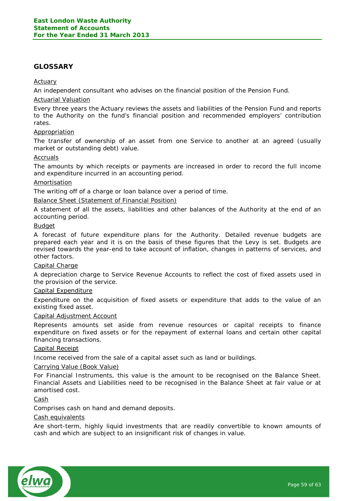# <span id="page-58-0"></span>**GLOSSARY**

#### Actuary

An independent consultant who advises on the financial position of the Pension Fund.

#### Actuarial Valuation

Every three years the Actuary reviews the assets and liabilities of the Pension Fund and reports to the Authority on the fund's financial position and recommended employers' contribution rates.

#### Appropriation

The transfer of ownership of an asset from one Service to another at an agreed (usually market or outstanding debt) value.

# Accruals

The amounts by which receipts or payments are increased in order to record the full income and expenditure incurred in an accounting period.

#### Amortisation

The writing off of a charge or loan balance over a period of time.

#### Balance Sheet (Statement of Financial Position)

A statement of all the assets, liabilities and other balances of the Authority at the end of an accounting period.

#### **Budget**

A forecast of future expenditure plans for the Authority. Detailed revenue budgets are prepared each year and it is on the basis of these figures that the Levy is set. Budgets are revised towards the year-end to take account of inflation, changes in patterns of services, and other factors.

#### Capital Charge

A depreciation charge to Service Revenue Accounts to reflect the cost of fixed assets used in the provision of the service.

#### Capital Expenditure

Expenditure on the acquisition of fixed assets or expenditure that adds to the value of an existing fixed asset.

#### Capital Adjustment Account

Represents amounts set aside from revenue resources or capital receipts to finance expenditure on fixed assets or for the repayment of external loans and certain other capital financing transactions.

#### Capital Receipt

Income received from the sale of a capital asset such as land or buildings.

#### Carrying Value (Book Value)

For Financial Instruments, this value is the amount to be recognised on the Balance Sheet. Financial Assets and Liabilities need to be recognised in the Balance Sheet at fair value or at amortised cost.

# **Cash**

Comprises cash on hand and demand deposits.

#### Cash equivalents

Are short-term, highly liquid investments that are readily convertible to known amounts of cash and which are subject to an insignificant risk of changes in value.

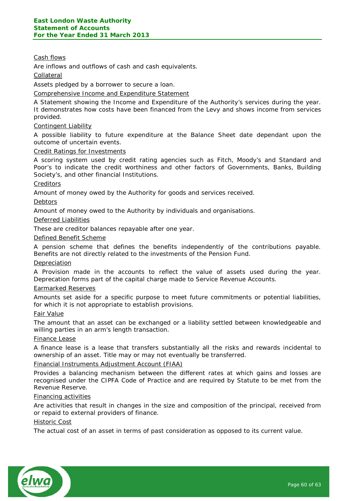# Cash flows

Are inflows and outflows of cash and cash equivalents.

#### Collateral

Assets pledged by a borrower to secure a loan.

Comprehensive Income and Expenditure Statement

A Statement showing the Income and Expenditure of the Authority's services during the year. It demonstrates how costs have been financed from the Levy and shows income from services provided.

#### Contingent Liability

A possible liability to future expenditure at the Balance Sheet date dependant upon the outcome of uncertain events.

#### Credit Ratings for Investments

A scoring system used by credit rating agencies such as Fitch, Moody's and Standard and Poor's to indicate the credit worthiness and other factors of Governments, Banks, Building Society's, and other financial Institutions.

#### **Creditors**

Amount of money owed by the Authority for goods and services received.

#### Debtors

Amount of money owed to the Authority by individuals and organisations.

#### Deferred Liabilities

These are creditor balances repayable after one year.

#### Defined Benefit Scheme

A pension scheme that defines the benefits independently of the contributions payable. Benefits are not directly related to the investments of the Pension Fund.

#### Depreciation

A Provision made in the accounts to reflect the value of assets used during the year. Deprecation forms part of the capital charge made to Service Revenue Accounts.

#### Earmarked Reserves

Amounts set aside for a specific purpose to meet future commitments or potential liabilities, for which it is not appropriate to establish provisions.

#### Fair Value

The amount that an asset can be exchanged or a liability settled between knowledgeable and willing parties in an arm's length transaction.

#### Finance Lease

A finance lease is a lease that transfers substantially all the risks and rewards incidental to ownership of an asset. Title may or may not eventually be transferred.

#### Financial Instruments Adjustment Account (FIAA)

Provides a balancing mechanism between the different rates at which gains and losses are recognised under the CIPFA Code of Practice and are required by Statute to be met from the Revenue Reserve.

#### Financing activities

Are activities that result in changes in the size and composition of the principal, received from or repaid to external providers of finance.

#### Historic Cost

The actual cost of an asset in terms of past consideration as opposed to its current value.

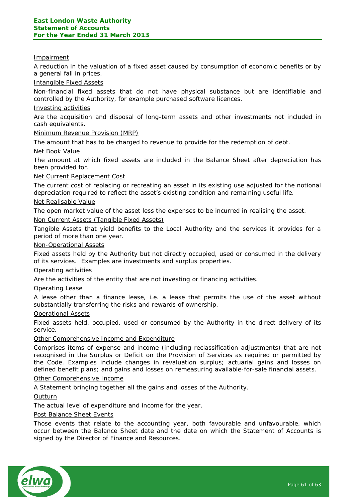#### Impairment

A reduction in the valuation of a fixed asset caused by consumption of economic benefits or by a general fall in prices.

#### Intangible Fixed Assets

Non-financial fixed assets that do not have physical substance but are identifiable and controlled by the Authority, for example purchased software licences.

#### Investing activities

Are the acquisition and disposal of long-term assets and other investments not included in cash equivalents.

#### Minimum Revenue Provision (MRP)

The amount that has to be charged to revenue to provide for the redemption of debt.

#### Net Book Value

The amount at which fixed assets are included in the Balance Sheet after depreciation has been provided for.

#### Net Current Replacement Cost

The current cost of replacing or recreating an asset in its existing use adjusted for the notional depreciation required to reflect the asset's existing condition and remaining useful life.

#### Net Realisable Value

The open market value of the asset less the expenses to be incurred in realising the asset.

#### Non Current Assets (Tangible Fixed Assets)

Tangible Assets that yield benefits to the Local Authority and the services it provides for a period of more than one year.

#### Non-Operational Assets

Fixed assets held by the Authority but not directly occupied, used or consumed in the delivery of its services. Examples are investments and surplus properties.

#### Operating activities

Are the activities of the entity that are not investing or financing activities.

#### Operating Lease

A lease other than a finance lease, i.e. a lease that permits the use of the asset without substantially transferring the risks and rewards of ownership.

#### Operational Assets

Fixed assets held, occupied, used or consumed by the Authority in the direct delivery of its service.

## Other Comprehensive Income and Expenditure

Comprises items of expense and income (including reclassification adjustments) that are not recognised in the Surplus or Deficit on the Provision of Services as required or permitted by the Code. Examples include changes in revaluation surplus; actuarial gains and losses on defined benefit plans; and gains and losses on remeasuring available-for-sale financial assets.

#### Other Comprehensive Income

A Statement bringing together all the gains and losses of the Authority.

#### **Outturn**

The actual level of expenditure and income for the year.

## Post Balance Sheet Events

Those events that relate to the accounting year, both favourable and unfavourable, which occur between the Balance Sheet date and the date on which the Statement of Accounts is signed by the Director of Finance and Resources.

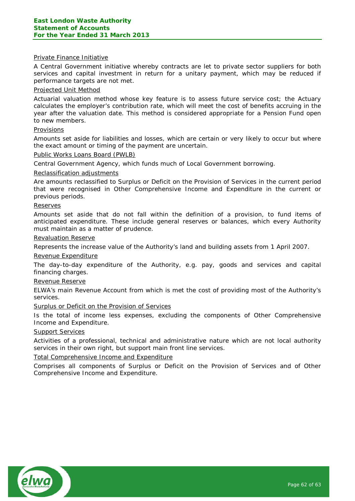#### Private Finance Initiative

A Central Government initiative whereby contracts are let to private sector suppliers for both services and capital investment in return for a unitary payment, which may be reduced if performance targets are not met.

## Projected Unit Method

Actuarial valuation method whose key feature is to assess future service cost; the Actuary calculates the employer's contribution rate, which will meet the cost of benefits accruing in the year after the valuation date. This method is considered appropriate for a Pension Fund open to new members.

#### Provisions

Amounts set aside for liabilities and losses, which are certain or very likely to occur but where the exact amount or timing of the payment are uncertain.

#### Public Works Loans Board (PWLB)

Central Government Agency, which funds much of Local Government borrowing.

#### Reclassification adjustments

Are amounts reclassified to Surplus or Deficit on the Provision of Services in the current period that were recognised in Other Comprehensive Income and Expenditure in the current or previous periods.

#### Reserves

Amounts set aside that do not fall within the definition of a provision, to fund items of anticipated expenditure. These include general reserves or balances, which every Authority must maintain as a matter of prudence.

#### Revaluation Reserve

Represents the increase value of the Authority's land and building assets from 1 April 2007.

#### Revenue Expenditure

The day-to-day expenditure of the Authority, e.g. pay, goods and services and capital financing charges.

#### Revenue Reserve

ELWA's main Revenue Account from which is met the cost of providing most of the Authority's services.

## Surplus or Deficit on the Provision of Services

Is the total of income less expenses, excluding the components of Other Comprehensive Income and Expenditure.

#### Support Services

Activities of a professional, technical and administrative nature which are not local authority services in their own right, but support main front line services.

## Total Comprehensive Income and Expenditure

Comprises all components of Surplus or Deficit on the Provision of Services and of Other Comprehensive Income and Expenditure.